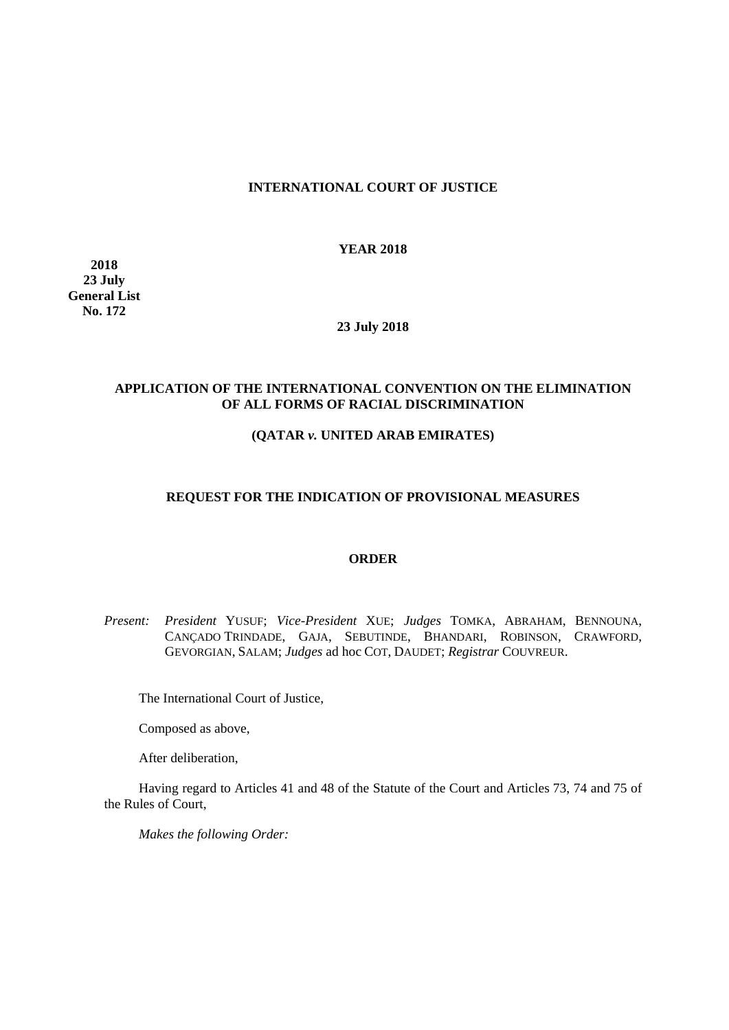## **INTERNATIONAL COURT OF JUSTICE**

**YEAR 2018** 

 **2018 23 July General List No. 172** 

## **23 July 2018**

# **APPLICATION OF THE INTERNATIONAL CONVENTION ON THE ELIMINATION OF ALL FORMS OF RACIAL DISCRIMINATION**

# **(QATAR** *v.* **UNITED ARAB EMIRATES)**

## **REQUEST FOR THE INDICATION OF PROVISIONAL MEASURES**

## **ORDER**

*Present: President* YUSUF; *Vice-President* XUE; *Judges* TOMKA, ABRAHAM, BENNOUNA, CANÇADO TRINDADE, GAJA, SEBUTINDE, BHANDARI, ROBINSON, CRAWFORD, GEVORGIAN, SALAM; *Judges* ad hoc COT, DAUDET; *Registrar* COUVREUR.

The International Court of Justice,

Composed as above,

After deliberation,

 Having regard to Articles 41 and 48 of the Statute of the Court and Articles 73, 74 and 75 of the Rules of Court,

*Makes the following Order:*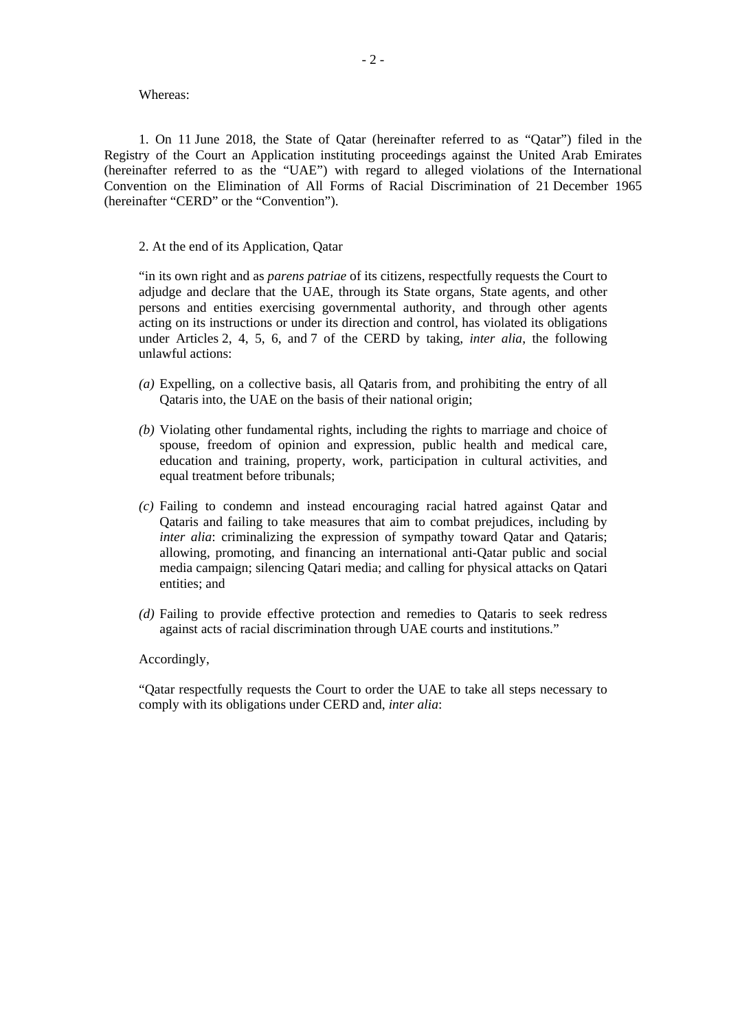#### Whereas:

 1. On 11 June 2018, the State of Qatar (hereinafter referred to as "Qatar") filed in the Registry of the Court an Application instituting proceedings against the United Arab Emirates (hereinafter referred to as the "UAE") with regard to alleged violations of the International Convention on the Elimination of All Forms of Racial Discrimination of 21 December 1965 (hereinafter "CERD" or the "Convention").

2. At the end of its Application, Qatar

"in its own right and as *parens patriae* of its citizens, respectfully requests the Court to adjudge and declare that the UAE, through its State organs, State agents, and other persons and entities exercising governmental authority, and through other agents acting on its instructions or under its direction and control, has violated its obligations under Articles 2, 4, 5, 6, and 7 of the CERD by taking, *inter alia*, the following unlawful actions:

- *(a)* Expelling, on a collective basis, all Qataris from, and prohibiting the entry of all Qataris into, the UAE on the basis of their national origin;
- *(b)* Violating other fundamental rights, including the rights to marriage and choice of spouse, freedom of opinion and expression, public health and medical care, education and training, property, work, participation in cultural activities, and equal treatment before tribunals;
- *(c)* Failing to condemn and instead encouraging racial hatred against Qatar and Qataris and failing to take measures that aim to combat prejudices, including by *inter alia*: criminalizing the expression of sympathy toward Qatar and Qataris; allowing, promoting, and financing an international anti-Qatar public and social media campaign; silencing Qatari media; and calling for physical attacks on Qatari entities; and
- *(d)* Failing to provide effective protection and remedies to Qataris to seek redress against acts of racial discrimination through UAE courts and institutions."

#### Accordingly,

"Qatar respectfully requests the Court to order the UAE to take all steps necessary to comply with its obligations under CERD and, *inter alia*: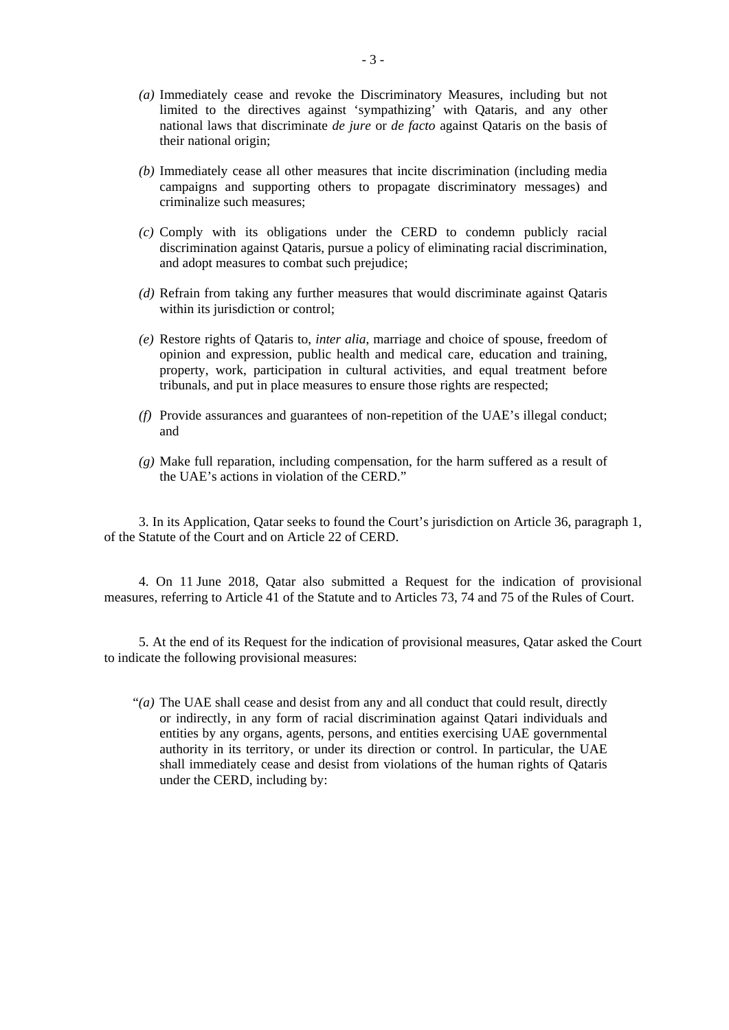- *(a)* Immediately cease and revoke the Discriminatory Measures, including but not limited to the directives against 'sympathizing' with Qataris, and any other national laws that discriminate *de jure* or *de facto* against Qataris on the basis of their national origin;
- *(b)* Immediately cease all other measures that incite discrimination (including media campaigns and supporting others to propagate discriminatory messages) and criminalize such measures;
- *(c)* Comply with its obligations under the CERD to condemn publicly racial discrimination against Qataris, pursue a policy of eliminating racial discrimination, and adopt measures to combat such prejudice;
- *(d)* Refrain from taking any further measures that would discriminate against Qataris within its jurisdiction or control;
- *(e)* Restore rights of Qataris to, *inter alia*, marriage and choice of spouse, freedom of opinion and expression, public health and medical care, education and training, property, work, participation in cultural activities, and equal treatment before tribunals, and put in place measures to ensure those rights are respected;
- *(f)* Provide assurances and guarantees of non-repetition of the UAE's illegal conduct; and
- *(g)* Make full reparation, including compensation, for the harm suffered as a result of the UAE's actions in violation of the CERD."

 3. In its Application, Qatar seeks to found the Court's jurisdiction on Article 36, paragraph 1, of the Statute of the Court and on Article 22 of CERD.

 4. On 11 June 2018, Qatar also submitted a Request for the indication of provisional measures, referring to Article 41 of the Statute and to Articles 73, 74 and 75 of the Rules of Court.

 5. At the end of its Request for the indication of provisional measures, Qatar asked the Court to indicate the following provisional measures:

"*(a)* The UAE shall cease and desist from any and all conduct that could result, directly or indirectly, in any form of racial discrimination against Qatari individuals and entities by any organs, agents, persons, and entities exercising UAE governmental authority in its territory, or under its direction or control. In particular, the UAE shall immediately cease and desist from violations of the human rights of Qataris under the CERD, including by: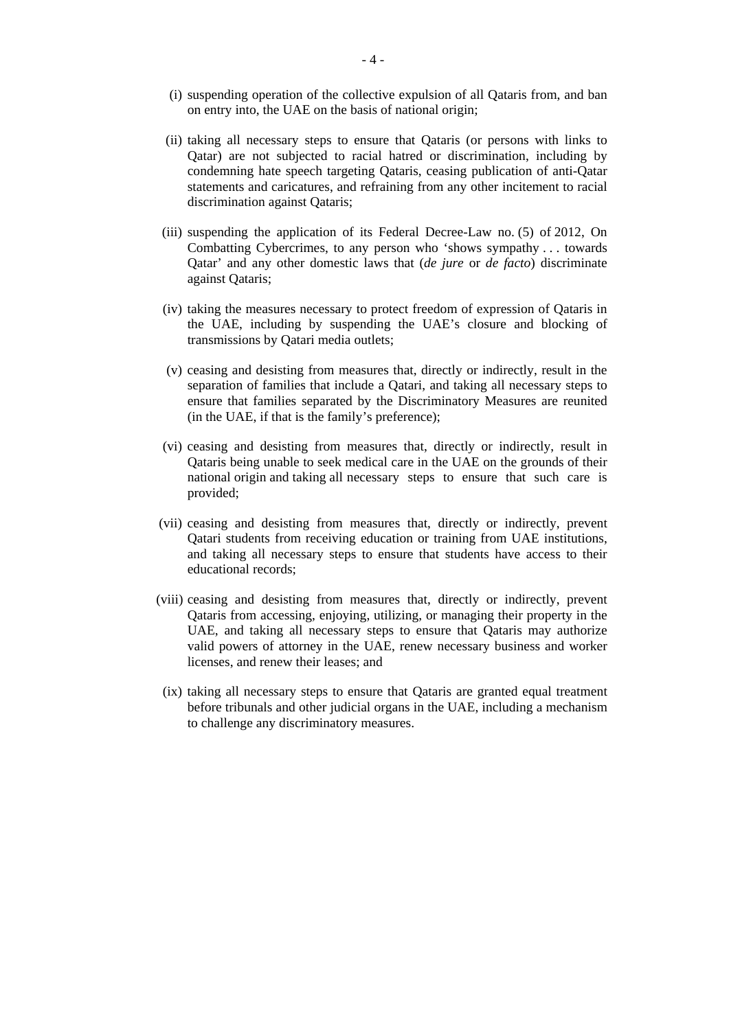- (i) suspending operation of the collective expulsion of all Qataris from, and ban on entry into, the UAE on the basis of national origin;
- (ii) taking all necessary steps to ensure that Qataris (or persons with links to Qatar) are not subjected to racial hatred or discrimination, including by condemning hate speech targeting Qataris, ceasing publication of anti-Qatar statements and caricatures, and refraining from any other incitement to racial discrimination against Qataris;
- (iii) suspending the application of its Federal Decree-Law no. (5) of 2012, On Combatting Cybercrimes, to any person who 'shows sympathy . . . towards Qatar' and any other domestic laws that (*de jure* or *de facto*) discriminate against Qataris;
- (iv) taking the measures necessary to protect freedom of expression of Qataris in the UAE, including by suspending the UAE's closure and blocking of transmissions by Qatari media outlets;
- (v) ceasing and desisting from measures that, directly or indirectly, result in the separation of families that include a Qatari, and taking all necessary steps to ensure that families separated by the Discriminatory Measures are reunited (in the UAE, if that is the family's preference);
- (vi) ceasing and desisting from measures that, directly or indirectly, result in Qataris being unable to seek medical care in the UAE on the grounds of their national origin and taking all necessary steps to ensure that such care is provided;
- (vii) ceasing and desisting from measures that, directly or indirectly, prevent Qatari students from receiving education or training from UAE institutions, and taking all necessary steps to ensure that students have access to their educational records;
- (viii) ceasing and desisting from measures that, directly or indirectly, prevent Qataris from accessing, enjoying, utilizing, or managing their property in the UAE, and taking all necessary steps to ensure that Qataris may authorize valid powers of attorney in the UAE, renew necessary business and worker licenses, and renew their leases; and
	- (ix) taking all necessary steps to ensure that Qataris are granted equal treatment before tribunals and other judicial organs in the UAE, including a mechanism to challenge any discriminatory measures.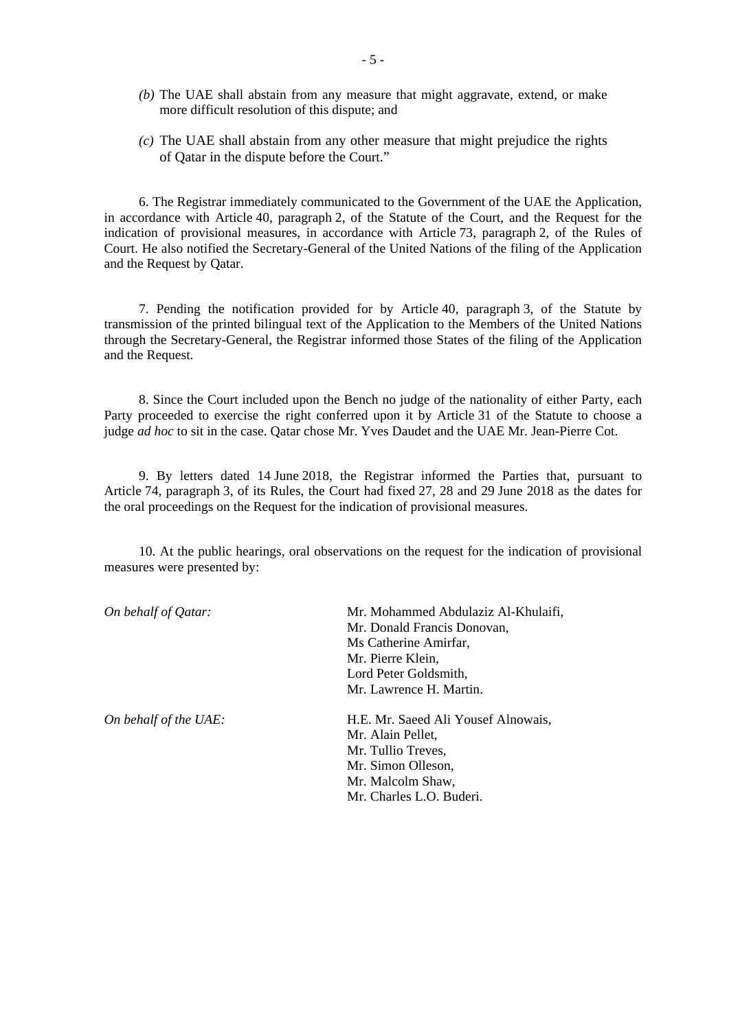- *(b)* The UAE shall abstain from any measure that might aggravate, extend, or make more difficult resolution of this dispute; and
- *(c)* The UAE shall abstain from any other measure that might prejudice the rights of Qatar in the dispute before the Court."

 6. The Registrar immediately communicated to the Government of the UAE the Application, in accordance with Article 40, paragraph 2, of the Statute of the Court, and the Request for the indication of provisional measures, in accordance with Article 73, paragraph 2, of the Rules of Court. He also notified the Secretary-General of the United Nations of the filing of the Application and the Request by Qatar.

 7. Pending the notification provided for by Article 40, paragraph 3, of the Statute by transmission of the printed bilingual text of the Application to the Members of the United Nations through the Secretary-General, the Registrar informed those States of the filing of the Application and the Request.

 8. Since the Court included upon the Bench no judge of the nationality of either Party, each Party proceeded to exercise the right conferred upon it by Article 31 of the Statute to choose a judge *ad hoc* to sit in the case. Qatar chose Mr. Yves Daudet and the UAE Mr. Jean-Pierre Cot.

 9. By letters dated 14 June 2018, the Registrar informed the Parties that, pursuant to Article 74, paragraph 3, of its Rules, the Court had fixed 27, 28 and 29 June 2018 as the dates for the oral proceedings on the Request for the indication of provisional measures.

 10. At the public hearings, oral observations on the request for the indication of provisional measures were presented by:

| On behalf of Qatar:   | Mr. Mohammed Abdulaziz Al-Khulaifi, |
|-----------------------|-------------------------------------|
|                       | Mr. Donald Francis Donovan,         |
|                       | Ms Catherine Amirfar,               |
|                       | Mr. Pierre Klein,                   |
|                       | Lord Peter Goldsmith.               |
|                       | Mr. Lawrence H. Martin.             |
| On behalf of the UAE: | H.E. Mr. Saeed Ali Yousef Alnowais. |
|                       | Mr. Alain Pellet.                   |
|                       | Mr. Tullio Treves.                  |
|                       | Mr. Simon Olleson.                  |
|                       | Mr. Malcolm Shaw,                   |
|                       | Mr. Charles L.O. Buderi.            |
|                       |                                     |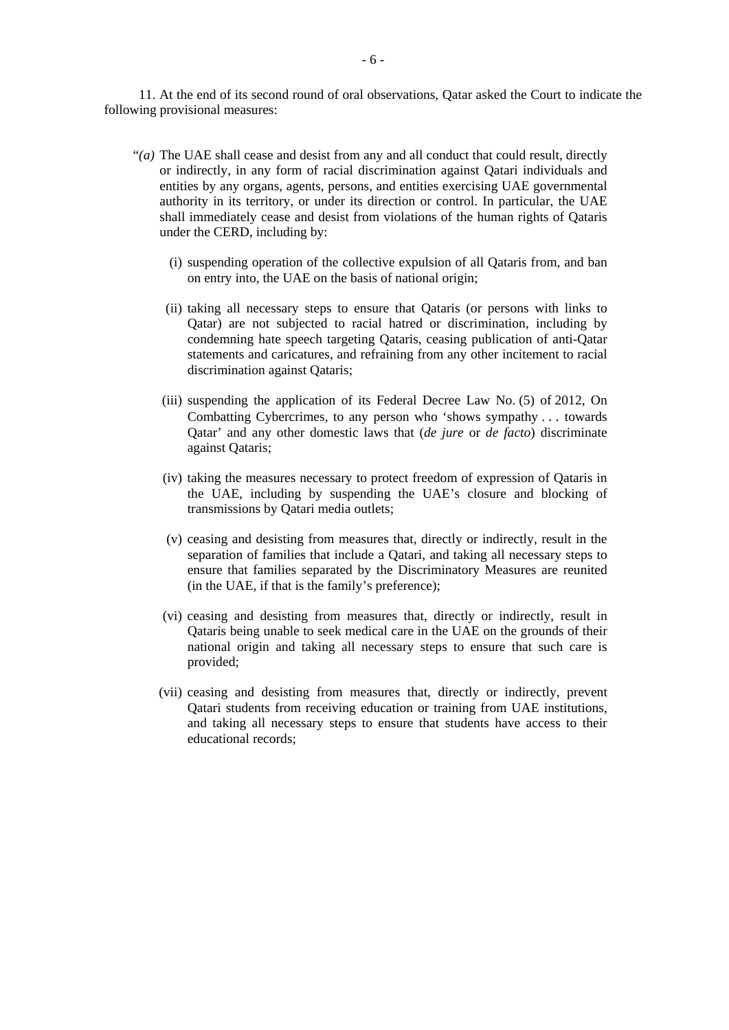11. At the end of its second round of oral observations, Qatar asked the Court to indicate the following provisional measures:

- "*(a)* The UAE shall cease and desist from any and all conduct that could result, directly or indirectly, in any form of racial discrimination against Qatari individuals and entities by any organs, agents, persons, and entities exercising UAE governmental authority in its territory, or under its direction or control. In particular, the UAE shall immediately cease and desist from violations of the human rights of Qataris under the CERD, including by:
	- (i) suspending operation of the collective expulsion of all Qataris from, and ban on entry into, the UAE on the basis of national origin;
	- (ii) taking all necessary steps to ensure that Qataris (or persons with links to Qatar) are not subjected to racial hatred or discrimination, including by condemning hate speech targeting Qataris, ceasing publication of anti-Qatar statements and caricatures, and refraining from any other incitement to racial discrimination against Qataris;
	- (iii) suspending the application of its Federal Decree Law No. (5) of 2012, On Combatting Cybercrimes, to any person who 'shows sympathy . . . towards Qatar' and any other domestic laws that (*de jure* or *de facto*) discriminate against Qataris;
	- (iv) taking the measures necessary to protect freedom of expression of Qataris in the UAE, including by suspending the UAE's closure and blocking of transmissions by Qatari media outlets;
	- (v) ceasing and desisting from measures that, directly or indirectly, result in the separation of families that include a Qatari, and taking all necessary steps to ensure that families separated by the Discriminatory Measures are reunited (in the UAE, if that is the family's preference);
	- (vi) ceasing and desisting from measures that, directly or indirectly, result in Qataris being unable to seek medical care in the UAE on the grounds of their national origin and taking all necessary steps to ensure that such care is provided;
	- (vii) ceasing and desisting from measures that, directly or indirectly, prevent Qatari students from receiving education or training from UAE institutions, and taking all necessary steps to ensure that students have access to their educational records;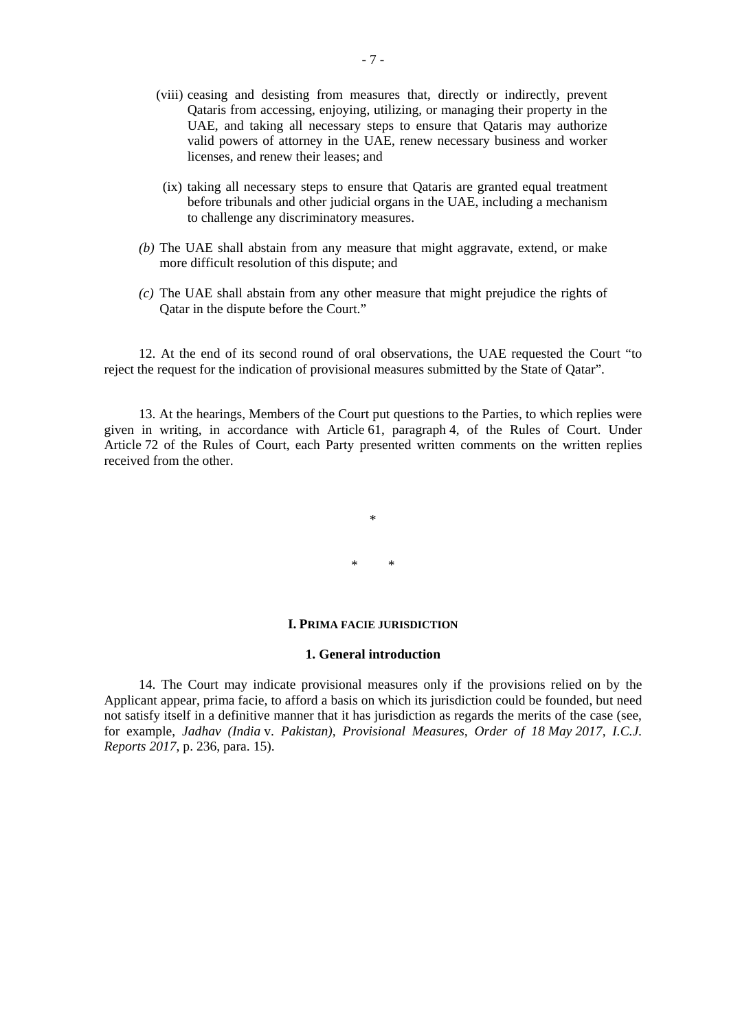- (viii) ceasing and desisting from measures that, directly or indirectly, prevent Qataris from accessing, enjoying, utilizing, or managing their property in the UAE, and taking all necessary steps to ensure that Qataris may authorize valid powers of attorney in the UAE, renew necessary business and worker licenses, and renew their leases; and
	- (ix) taking all necessary steps to ensure that Qataris are granted equal treatment before tribunals and other judicial organs in the UAE, including a mechanism to challenge any discriminatory measures.
- *(b)* The UAE shall abstain from any measure that might aggravate, extend, or make more difficult resolution of this dispute; and
- *(c)* The UAE shall abstain from any other measure that might prejudice the rights of Qatar in the dispute before the Court."

 12. At the end of its second round of oral observations, the UAE requested the Court "to reject the request for the indication of provisional measures submitted by the State of Qatar".

 13. At the hearings, Members of the Court put questions to the Parties, to which replies were given in writing, in accordance with Article 61, paragraph 4, of the Rules of Court. Under Article 72 of the Rules of Court, each Party presented written comments on the written replies received from the other.

> \* \* \*

#### **I. PRIMA FACIE JURISDICTION**

### **1. General introduction**

 14. The Court may indicate provisional measures only if the provisions relied on by the Applicant appear, prima facie, to afford a basis on which its jurisdiction could be founded, but need not satisfy itself in a definitive manner that it has jurisdiction as regards the merits of the case (see, for example, *Jadhav (India* v. *Pakistan), Provisional Measures, Order of 18 May 2017, I.C.J. Reports 2017*, p. 236, para. 15).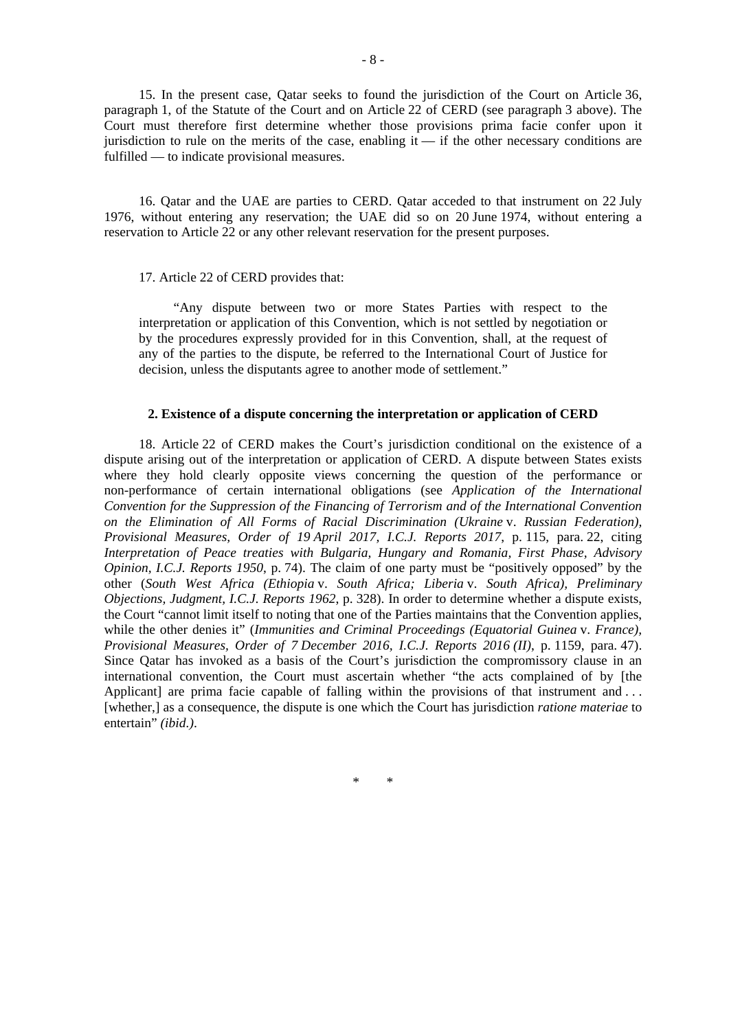15. In the present case, Qatar seeks to found the jurisdiction of the Court on Article 36, paragraph 1, of the Statute of the Court and on Article 22 of CERD (see paragraph 3 above). The Court must therefore first determine whether those provisions prima facie confer upon it jurisdiction to rule on the merits of the case, enabling it  $-$  if the other necessary conditions are fulfilled — to indicate provisional measures.

 16. Qatar and the UAE are parties to CERD. Qatar acceded to that instrument on 22 July 1976, without entering any reservation; the UAE did so on 20 June 1974, without entering a reservation to Article 22 or any other relevant reservation for the present purposes.

## 17. Article 22 of CERD provides that:

 "Any dispute between two or more States Parties with respect to the interpretation or application of this Convention, which is not settled by negotiation or by the procedures expressly provided for in this Convention, shall, at the request of any of the parties to the dispute, be referred to the International Court of Justice for decision, unless the disputants agree to another mode of settlement."

## **2. Existence of a dispute concerning the interpretation or application of CERD**

 18. Article 22 of CERD makes the Court's jurisdiction conditional on the existence of a dispute arising out of the interpretation or application of CERD. A dispute between States exists where they hold clearly opposite views concerning the question of the performance or non-performance of certain international obligations (see *Application of the International Convention for the Suppression of the Financing of Terrorism and of the International Convention on the Elimination of All Forms of Racial Discrimination (Ukraine* v. *Russian Federation), Provisional Measures, Order of 19 April 2017, I.C.J. Reports 2017*, p. 115, para. 22, citing *Interpretation of Peace treaties with Bulgaria, Hungary and Romania, First Phase, Advisory Opinion, I.C.J. Reports 1950*, p. 74). The claim of one party must be "positively opposed" by the other (*South West Africa (Ethiopia* v. *South Africa; Liberia* v. *South Africa), Preliminary Objections, Judgment, I.C.J. Reports 1962*, p. 328). In order to determine whether a dispute exists, the Court "cannot limit itself to noting that one of the Parties maintains that the Convention applies, while the other denies it" (*Immunities and Criminal Proceedings (Equatorial Guinea* v. *France), Provisional Measures, Order of 7 December 2016, I.C.J. Reports 2016 (II)*, p. 1159, para. 47). Since Qatar has invoked as a basis of the Court's jurisdiction the compromissory clause in an international convention, the Court must ascertain whether "the acts complained of by [the Applicant] are prima facie capable of falling within the provisions of that instrument and ... [whether,] as a consequence, the dispute is one which the Court has jurisdiction *ratione materiae* to entertain" *(ibid.)*.

- 8 -

\* \*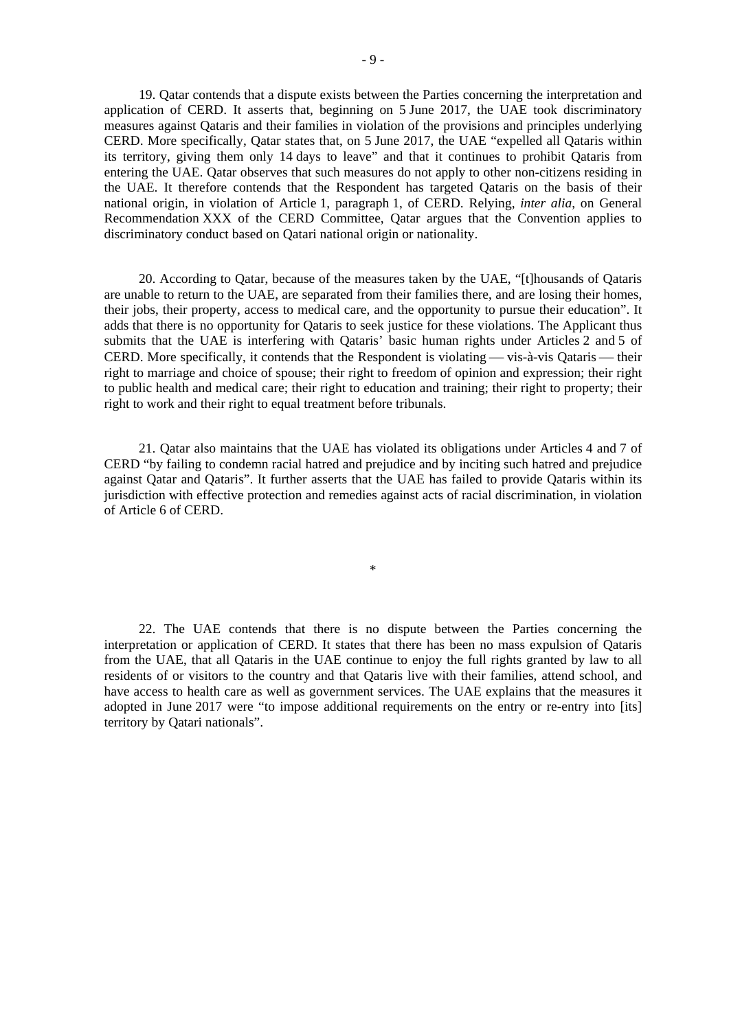19. Qatar contends that a dispute exists between the Parties concerning the interpretation and application of CERD. It asserts that, beginning on 5 June 2017, the UAE took discriminatory measures against Qataris and their families in violation of the provisions and principles underlying CERD. More specifically, Qatar states that, on 5 June 2017, the UAE "expelled all Qataris within its territory, giving them only 14 days to leave" and that it continues to prohibit Qataris from entering the UAE. Qatar observes that such measures do not apply to other non-citizens residing in the UAE. It therefore contends that the Respondent has targeted Qataris on the basis of their national origin, in violation of Article 1, paragraph 1, of CERD. Relying, *inter alia*, on General Recommendation XXX of the CERD Committee, Qatar argues that the Convention applies to discriminatory conduct based on Qatari national origin or nationality.

 20. According to Qatar, because of the measures taken by the UAE, "[t]housands of Qataris are unable to return to the UAE, are separated from their families there, and are losing their homes, their jobs, their property, access to medical care, and the opportunity to pursue their education". It adds that there is no opportunity for Qataris to seek justice for these violations. The Applicant thus submits that the UAE is interfering with Qataris' basic human rights under Articles 2 and 5 of CERD. More specifically, it contends that the Respondent is violating — vis-à-vis Qataris — their right to marriage and choice of spouse; their right to freedom of opinion and expression; their right to public health and medical care; their right to education and training; their right to property; their right to work and their right to equal treatment before tribunals.

 21. Qatar also maintains that the UAE has violated its obligations under Articles 4 and 7 of CERD "by failing to condemn racial hatred and prejudice and by inciting such hatred and prejudice against Qatar and Qataris". It further asserts that the UAE has failed to provide Qataris within its jurisdiction with effective protection and remedies against acts of racial discrimination, in violation of Article 6 of CERD.

\*

 22. The UAE contends that there is no dispute between the Parties concerning the interpretation or application of CERD. It states that there has been no mass expulsion of Qataris from the UAE, that all Qataris in the UAE continue to enjoy the full rights granted by law to all residents of or visitors to the country and that Qataris live with their families, attend school, and have access to health care as well as government services. The UAE explains that the measures it adopted in June 2017 were "to impose additional requirements on the entry or re-entry into [its] territory by Qatari nationals".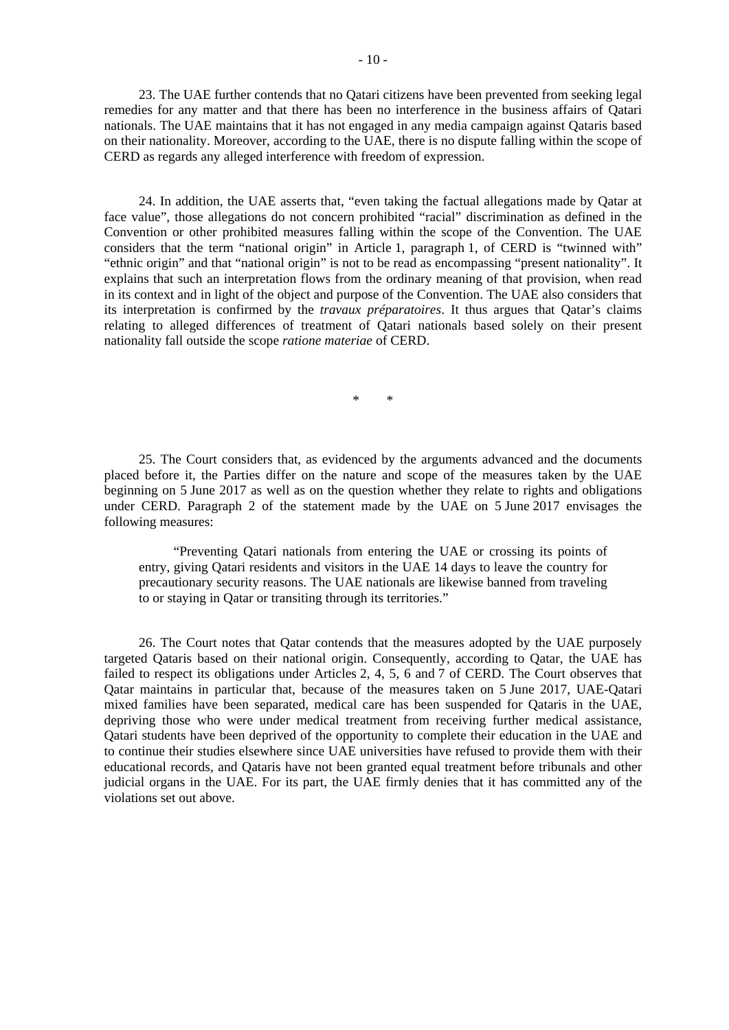23. The UAE further contends that no Qatari citizens have been prevented from seeking legal remedies for any matter and that there has been no interference in the business affairs of Qatari nationals. The UAE maintains that it has not engaged in any media campaign against Qataris based on their nationality. Moreover, according to the UAE, there is no dispute falling within the scope of CERD as regards any alleged interference with freedom of expression.

 24. In addition, the UAE asserts that, "even taking the factual allegations made by Qatar at face value", those allegations do not concern prohibited "racial" discrimination as defined in the Convention or other prohibited measures falling within the scope of the Convention. The UAE considers that the term "national origin" in Article 1, paragraph 1, of CERD is "twinned with" "ethnic origin" and that "national origin" is not to be read as encompassing "present nationality". It explains that such an interpretation flows from the ordinary meaning of that provision, when read in its context and in light of the object and purpose of the Convention. The UAE also considers that its interpretation is confirmed by the *travaux préparatoires*. It thus argues that Qatar's claims relating to alleged differences of treatment of Qatari nationals based solely on their present nationality fall outside the scope *ratione materiae* of CERD.

\* \*

 25. The Court considers that, as evidenced by the arguments advanced and the documents placed before it, the Parties differ on the nature and scope of the measures taken by the UAE beginning on 5 June 2017 as well as on the question whether they relate to rights and obligations under CERD. Paragraph 2 of the statement made by the UAE on 5 June 2017 envisages the following measures:

 "Preventing Qatari nationals from entering the UAE or crossing its points of entry, giving Qatari residents and visitors in the UAE 14 days to leave the country for precautionary security reasons. The UAE nationals are likewise banned from traveling to or staying in Qatar or transiting through its territories."

 26. The Court notes that Qatar contends that the measures adopted by the UAE purposely targeted Qataris based on their national origin. Consequently, according to Qatar, the UAE has failed to respect its obligations under Articles 2, 4, 5, 6 and 7 of CERD. The Court observes that Qatar maintains in particular that, because of the measures taken on 5 June 2017, UAE-Qatari mixed families have been separated, medical care has been suspended for Qataris in the UAE, depriving those who were under medical treatment from receiving further medical assistance, Qatari students have been deprived of the opportunity to complete their education in the UAE and to continue their studies elsewhere since UAE universities have refused to provide them with their educational records, and Qataris have not been granted equal treatment before tribunals and other judicial organs in the UAE. For its part, the UAE firmly denies that it has committed any of the violations set out above.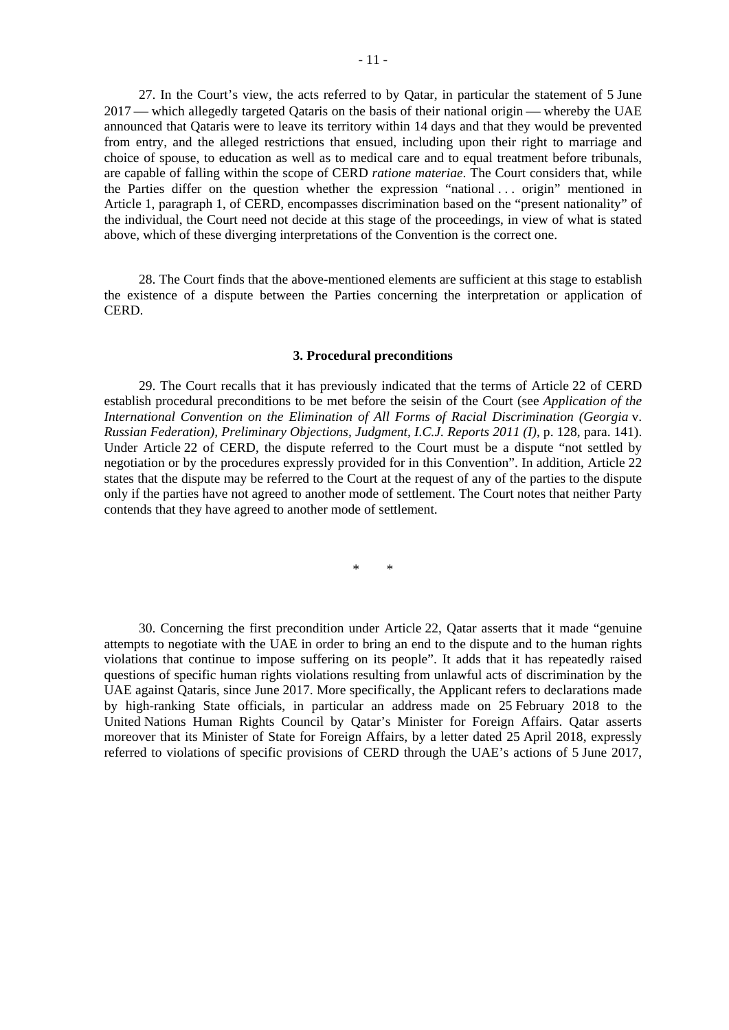27. In the Court's view, the acts referred to by Qatar, in particular the statement of 5 June 2017 — which allegedly targeted Qataris on the basis of their national origin — whereby the UAE announced that Qataris were to leave its territory within 14 days and that they would be prevented from entry, and the alleged restrictions that ensued, including upon their right to marriage and choice of spouse, to education as well as to medical care and to equal treatment before tribunals, are capable of falling within the scope of CERD *ratione materiae*. The Court considers that, while the Parties differ on the question whether the expression "national . . . origin" mentioned in Article 1, paragraph 1, of CERD, encompasses discrimination based on the "present nationality" of the individual, the Court need not decide at this stage of the proceedings, in view of what is stated above, which of these diverging interpretations of the Convention is the correct one.

 28. The Court finds that the above-mentioned elements are sufficient at this stage to establish the existence of a dispute between the Parties concerning the interpretation or application of CERD.

#### **3. Procedural preconditions**

 29. The Court recalls that it has previously indicated that the terms of Article 22 of CERD establish procedural preconditions to be met before the seisin of the Court (see *Application of the International Convention on the Elimination of All Forms of Racial Discrimination (Georgia* v. *Russian Federation), Preliminary Objections, Judgment, I.C.J. Reports 2011 (I)*, p. 128, para. 141). Under Article 22 of CERD, the dispute referred to the Court must be a dispute "not settled by negotiation or by the procedures expressly provided for in this Convention". In addition, Article 22 states that the dispute may be referred to the Court at the request of any of the parties to the dispute only if the parties have not agreed to another mode of settlement. The Court notes that neither Party contends that they have agreed to another mode of settlement.

\* \*

 30. Concerning the first precondition under Article 22, Qatar asserts that it made "genuine attempts to negotiate with the UAE in order to bring an end to the dispute and to the human rights violations that continue to impose suffering on its people". It adds that it has repeatedly raised questions of specific human rights violations resulting from unlawful acts of discrimination by the UAE against Qataris, since June 2017. More specifically, the Applicant refers to declarations made by high-ranking State officials, in particular an address made on 25 February 2018 to the United Nations Human Rights Council by Qatar's Minister for Foreign Affairs. Qatar asserts moreover that its Minister of State for Foreign Affairs, by a letter dated 25 April 2018, expressly referred to violations of specific provisions of CERD through the UAE's actions of 5 June 2017,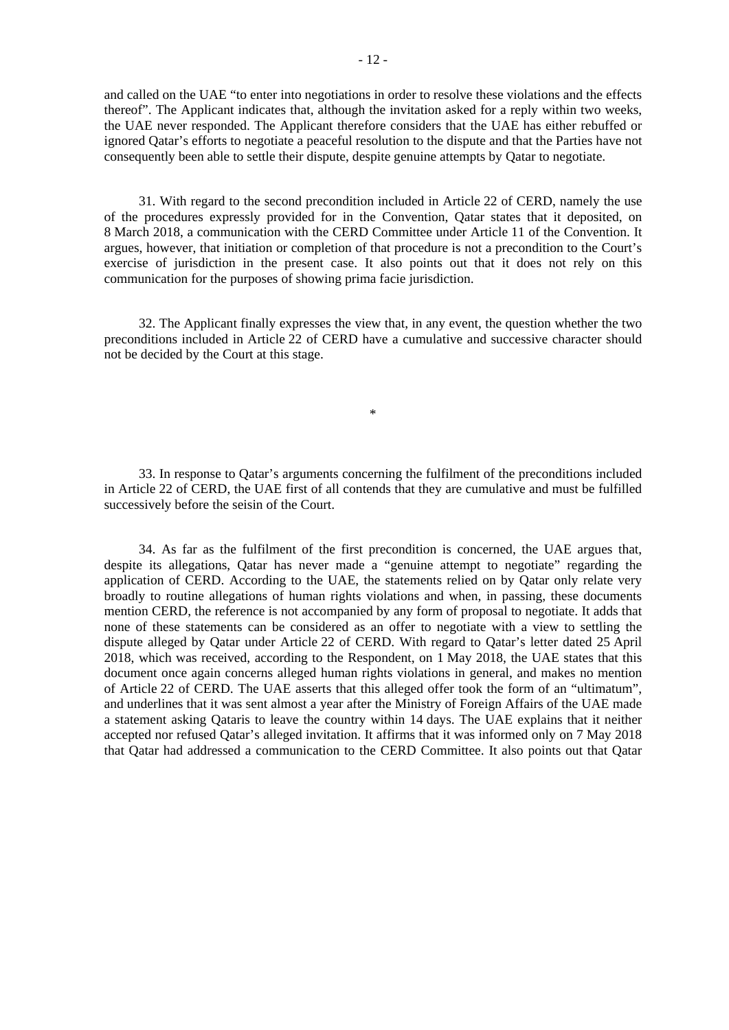and called on the UAE "to enter into negotiations in order to resolve these violations and the effects thereof". The Applicant indicates that, although the invitation asked for a reply within two weeks, the UAE never responded. The Applicant therefore considers that the UAE has either rebuffed or ignored Qatar's efforts to negotiate a peaceful resolution to the dispute and that the Parties have not consequently been able to settle their dispute, despite genuine attempts by Qatar to negotiate.

 31. With regard to the second precondition included in Article 22 of CERD, namely the use of the procedures expressly provided for in the Convention, Qatar states that it deposited, on 8 March 2018, a communication with the CERD Committee under Article 11 of the Convention. It argues, however, that initiation or completion of that procedure is not a precondition to the Court's exercise of jurisdiction in the present case. It also points out that it does not rely on this communication for the purposes of showing prima facie jurisdiction.

 32. The Applicant finally expresses the view that, in any event, the question whether the two preconditions included in Article 22 of CERD have a cumulative and successive character should not be decided by the Court at this stage.

\*

 33. In response to Qatar's arguments concerning the fulfilment of the preconditions included in Article 22 of CERD, the UAE first of all contends that they are cumulative and must be fulfilled successively before the seisin of the Court.

 34. As far as the fulfilment of the first precondition is concerned, the UAE argues that, despite its allegations, Qatar has never made a "genuine attempt to negotiate" regarding the application of CERD. According to the UAE, the statements relied on by Qatar only relate very broadly to routine allegations of human rights violations and when, in passing, these documents mention CERD, the reference is not accompanied by any form of proposal to negotiate. It adds that none of these statements can be considered as an offer to negotiate with a view to settling the dispute alleged by Qatar under Article 22 of CERD. With regard to Qatar's letter dated 25 April 2018, which was received, according to the Respondent, on 1 May 2018, the UAE states that this document once again concerns alleged human rights violations in general, and makes no mention of Article 22 of CERD. The UAE asserts that this alleged offer took the form of an "ultimatum", and underlines that it was sent almost a year after the Ministry of Foreign Affairs of the UAE made a statement asking Qataris to leave the country within 14 days. The UAE explains that it neither accepted nor refused Qatar's alleged invitation. It affirms that it was informed only on 7 May 2018 that Qatar had addressed a communication to the CERD Committee. It also points out that Qatar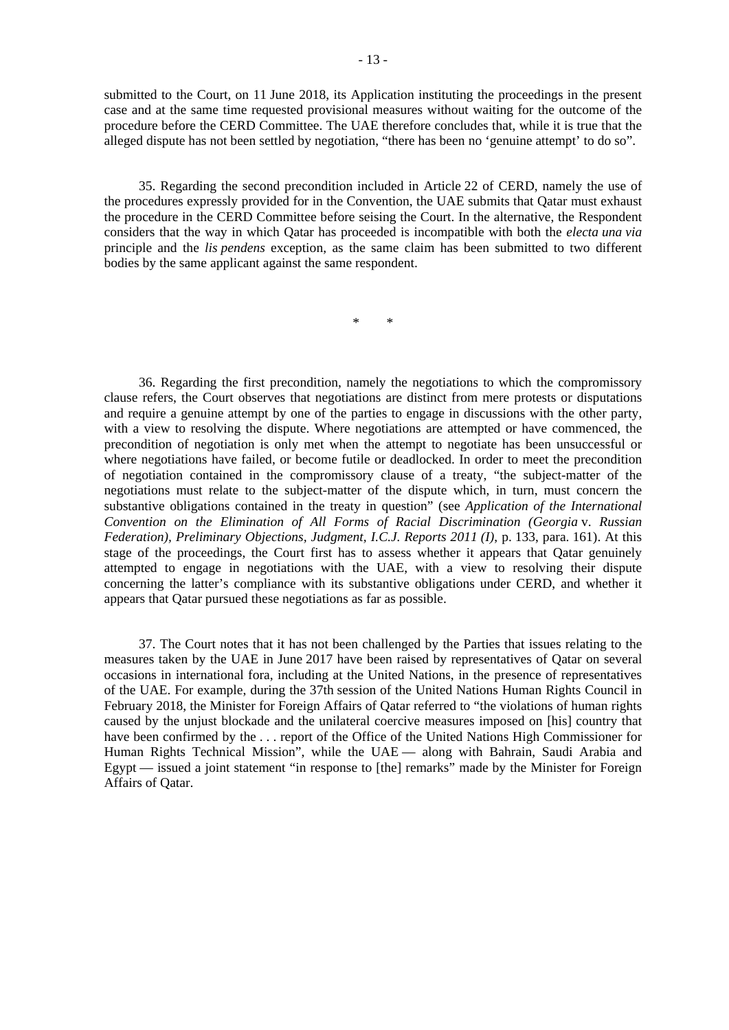submitted to the Court, on 11 June 2018, its Application instituting the proceedings in the present case and at the same time requested provisional measures without waiting for the outcome of the procedure before the CERD Committee. The UAE therefore concludes that, while it is true that the alleged dispute has not been settled by negotiation, "there has been no 'genuine attempt' to do so".

 35. Regarding the second precondition included in Article 22 of CERD, namely the use of the procedures expressly provided for in the Convention, the UAE submits that Qatar must exhaust the procedure in the CERD Committee before seising the Court. In the alternative, the Respondent considers that the way in which Qatar has proceeded is incompatible with both the *electa una via* principle and the *lis pendens* exception, as the same claim has been submitted to two different bodies by the same applicant against the same respondent.

\* \*

 36. Regarding the first precondition, namely the negotiations to which the compromissory clause refers, the Court observes that negotiations are distinct from mere protests or disputations and require a genuine attempt by one of the parties to engage in discussions with the other party, with a view to resolving the dispute. Where negotiations are attempted or have commenced, the precondition of negotiation is only met when the attempt to negotiate has been unsuccessful or where negotiations have failed, or become futile or deadlocked. In order to meet the precondition of negotiation contained in the compromissory clause of a treaty, "the subject-matter of the negotiations must relate to the subject-matter of the dispute which, in turn, must concern the substantive obligations contained in the treaty in question" (see *Application of the International Convention on the Elimination of All Forms of Racial Discrimination (Georgia* v. *Russian Federation), Preliminary Objections, Judgment, I.C.J. Reports 2011 (I)*, p. 133, para. 161). At this stage of the proceedings, the Court first has to assess whether it appears that Qatar genuinely attempted to engage in negotiations with the UAE, with a view to resolving their dispute concerning the latter's compliance with its substantive obligations under CERD, and whether it appears that Qatar pursued these negotiations as far as possible.

 37. The Court notes that it has not been challenged by the Parties that issues relating to the measures taken by the UAE in June 2017 have been raised by representatives of Qatar on several occasions in international fora, including at the United Nations, in the presence of representatives of the UAE. For example, during the 37th session of the United Nations Human Rights Council in February 2018, the Minister for Foreign Affairs of Qatar referred to "the violations of human rights caused by the unjust blockade and the unilateral coercive measures imposed on [his] country that have been confirmed by the ... report of the Office of the United Nations High Commissioner for Human Rights Technical Mission", while the UAE — along with Bahrain, Saudi Arabia and Egypt — issued a joint statement "in response to [the] remarks" made by the Minister for Foreign Affairs of Qatar.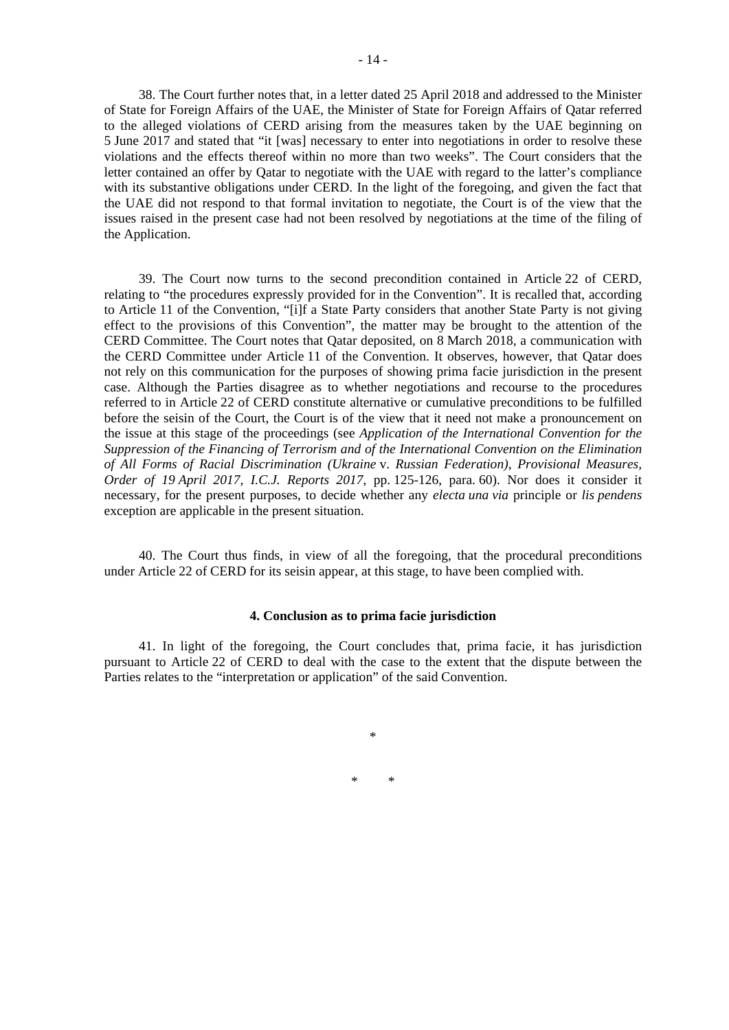38. The Court further notes that, in a letter dated 25 April 2018 and addressed to the Minister of State for Foreign Affairs of the UAE, the Minister of State for Foreign Affairs of Qatar referred to the alleged violations of CERD arising from the measures taken by the UAE beginning on 5 June 2017 and stated that "it [was] necessary to enter into negotiations in order to resolve these violations and the effects thereof within no more than two weeks". The Court considers that the letter contained an offer by Qatar to negotiate with the UAE with regard to the latter's compliance with its substantive obligations under CERD. In the light of the foregoing, and given the fact that the UAE did not respond to that formal invitation to negotiate, the Court is of the view that the issues raised in the present case had not been resolved by negotiations at the time of the filing of the Application.

 39. The Court now turns to the second precondition contained in Article 22 of CERD, relating to "the procedures expressly provided for in the Convention". It is recalled that, according to Article 11 of the Convention, "[i]f a State Party considers that another State Party is not giving effect to the provisions of this Convention", the matter may be brought to the attention of the CERD Committee. The Court notes that Qatar deposited, on 8 March 2018, a communication with the CERD Committee under Article 11 of the Convention. It observes, however, that Qatar does not rely on this communication for the purposes of showing prima facie jurisdiction in the present case. Although the Parties disagree as to whether negotiations and recourse to the procedures referred to in Article 22 of CERD constitute alternative or cumulative preconditions to be fulfilled before the seisin of the Court, the Court is of the view that it need not make a pronouncement on the issue at this stage of the proceedings (see *Application of the International Convention for the Suppression of the Financing of Terrorism and of the International Convention on the Elimination of All Forms of Racial Discrimination (Ukraine* v. *Russian Federation), Provisional Measures, Order of 19 April 2017, I.C.J. Reports 2017*, pp. 125-126, para. 60). Nor does it consider it necessary, for the present purposes, to decide whether any *electa una via* principle or *lis pendens* exception are applicable in the present situation.

 40. The Court thus finds, in view of all the foregoing, that the procedural preconditions under Article 22 of CERD for its seisin appear, at this stage, to have been complied with.

## **4. Conclusion as to prima facie jurisdiction**

 41. In light of the foregoing, the Court concludes that, prima facie, it has jurisdiction pursuant to Article 22 of CERD to deal with the case to the extent that the dispute between the Parties relates to the "interpretation or application" of the said Convention.

\*

\* \*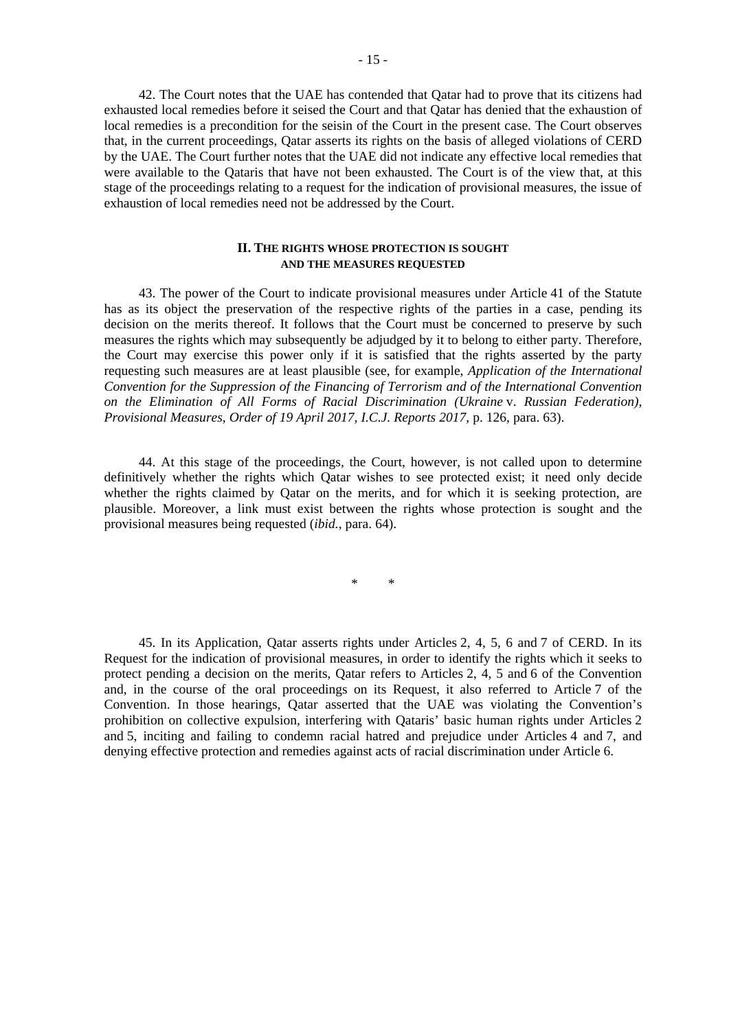42. The Court notes that the UAE has contended that Qatar had to prove that its citizens had exhausted local remedies before it seised the Court and that Qatar has denied that the exhaustion of local remedies is a precondition for the seisin of the Court in the present case. The Court observes that, in the current proceedings, Qatar asserts its rights on the basis of alleged violations of CERD by the UAE. The Court further notes that the UAE did not indicate any effective local remedies that were available to the Qataris that have not been exhausted. The Court is of the view that, at this stage of the proceedings relating to a request for the indication of provisional measures, the issue of exhaustion of local remedies need not be addressed by the Court.

## **II. THE RIGHTS WHOSE PROTECTION IS SOUGHT AND THE MEASURES REQUESTED**

 43. The power of the Court to indicate provisional measures under Article 41 of the Statute has as its object the preservation of the respective rights of the parties in a case, pending its decision on the merits thereof. It follows that the Court must be concerned to preserve by such measures the rights which may subsequently be adjudged by it to belong to either party. Therefore, the Court may exercise this power only if it is satisfied that the rights asserted by the party requesting such measures are at least plausible (see, for example, *Application of the International Convention for the Suppression of the Financing of Terrorism and of the International Convention on the Elimination of All Forms of Racial Discrimination (Ukraine* v. *Russian Federation), Provisional Measures, Order of 19 April 2017, I.C.J. Reports 2017*, p. 126, para. 63).

 44. At this stage of the proceedings, the Court, however, is not called upon to determine definitively whether the rights which Qatar wishes to see protected exist; it need only decide whether the rights claimed by Qatar on the merits, and for which it is seeking protection, are plausible. Moreover, a link must exist between the rights whose protection is sought and the provisional measures being requested (*ibid.*, para. 64).

\* \*

 45. In its Application, Qatar asserts rights under Articles 2, 4, 5, 6 and 7 of CERD. In its Request for the indication of provisional measures, in order to identify the rights which it seeks to protect pending a decision on the merits, Qatar refers to Articles 2, 4, 5 and 6 of the Convention and, in the course of the oral proceedings on its Request, it also referred to Article 7 of the Convention. In those hearings, Qatar asserted that the UAE was violating the Convention's prohibition on collective expulsion, interfering with Qataris' basic human rights under Articles 2 and 5, inciting and failing to condemn racial hatred and prejudice under Articles 4 and 7, and denying effective protection and remedies against acts of racial discrimination under Article 6.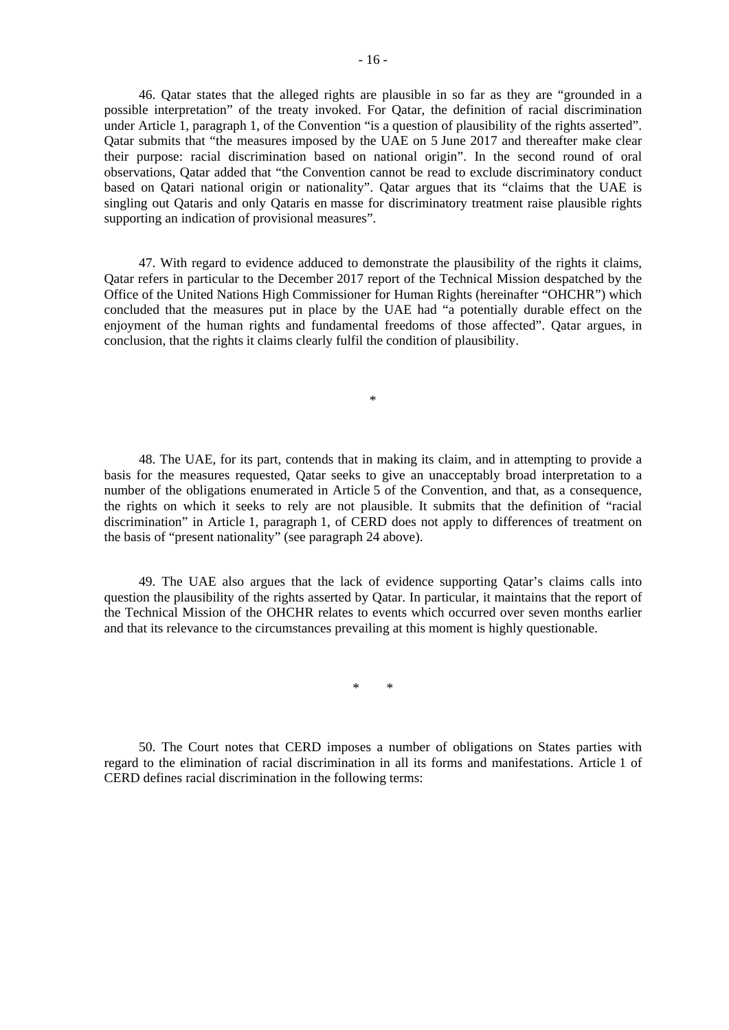46. Qatar states that the alleged rights are plausible in so far as they are "grounded in a possible interpretation" of the treaty invoked. For Qatar, the definition of racial discrimination under Article 1, paragraph 1, of the Convention "is a question of plausibility of the rights asserted". Qatar submits that "the measures imposed by the UAE on 5 June 2017 and thereafter make clear their purpose: racial discrimination based on national origin". In the second round of oral observations, Qatar added that "the Convention cannot be read to exclude discriminatory conduct based on Qatari national origin or nationality". Qatar argues that its "claims that the UAE is singling out Qataris and only Qataris en masse for discriminatory treatment raise plausible rights supporting an indication of provisional measures".

 47. With regard to evidence adduced to demonstrate the plausibility of the rights it claims, Qatar refers in particular to the December 2017 report of the Technical Mission despatched by the Office of the United Nations High Commissioner for Human Rights (hereinafter "OHCHR") which concluded that the measures put in place by the UAE had "a potentially durable effect on the enjoyment of the human rights and fundamental freedoms of those affected". Qatar argues, in conclusion, that the rights it claims clearly fulfil the condition of plausibility.

\*

 48. The UAE, for its part, contends that in making its claim, and in attempting to provide a basis for the measures requested, Qatar seeks to give an unacceptably broad interpretation to a number of the obligations enumerated in Article 5 of the Convention, and that, as a consequence, the rights on which it seeks to rely are not plausible. It submits that the definition of "racial discrimination" in Article 1, paragraph 1, of CERD does not apply to differences of treatment on the basis of "present nationality" (see paragraph 24 above).

 49. The UAE also argues that the lack of evidence supporting Qatar's claims calls into question the plausibility of the rights asserted by Qatar. In particular, it maintains that the report of the Technical Mission of the OHCHR relates to events which occurred over seven months earlier and that its relevance to the circumstances prevailing at this moment is highly questionable.

\* \*

 50. The Court notes that CERD imposes a number of obligations on States parties with regard to the elimination of racial discrimination in all its forms and manifestations. Article 1 of CERD defines racial discrimination in the following terms: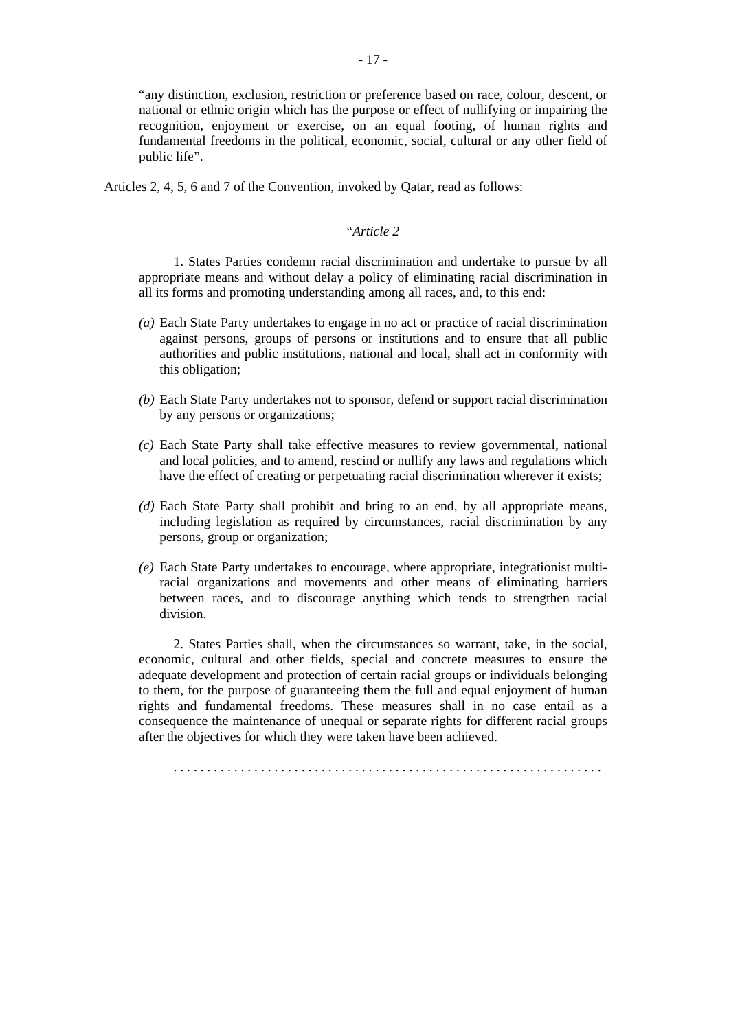"any distinction, exclusion, restriction or preference based on race, colour, descent, or national or ethnic origin which has the purpose or effect of nullifying or impairing the recognition, enjoyment or exercise, on an equal footing, of human rights and fundamental freedoms in the political, economic, social, cultural or any other field of public life".

Articles 2, 4, 5, 6 and 7 of the Convention, invoked by Qatar, read as follows:

## "*Article 2*

 1. States Parties condemn racial discrimination and undertake to pursue by all appropriate means and without delay a policy of eliminating racial discrimination in all its forms and promoting understanding among all races, and, to this end:

- *(a)* Each State Party undertakes to engage in no act or practice of racial discrimination against persons, groups of persons or institutions and to ensure that all public authorities and public institutions, national and local, shall act in conformity with this obligation;
- *(b)* Each State Party undertakes not to sponsor, defend or support racial discrimination by any persons or organizations;
- *(c)* Each State Party shall take effective measures to review governmental, national and local policies, and to amend, rescind or nullify any laws and regulations which have the effect of creating or perpetuating racial discrimination wherever it exists;
- *(d)* Each State Party shall prohibit and bring to an end, by all appropriate means, including legislation as required by circumstances, racial discrimination by any persons, group or organization;
- *(e)* Each State Party undertakes to encourage, where appropriate, integrationist multiracial organizations and movements and other means of eliminating barriers between races, and to discourage anything which tends to strengthen racial division.

 2. States Parties shall, when the circumstances so warrant, take, in the social, economic, cultural and other fields, special and concrete measures to ensure the adequate development and protection of certain racial groups or individuals belonging to them, for the purpose of guaranteeing them the full and equal enjoyment of human rights and fundamental freedoms. These measures shall in no case entail as a consequence the maintenance of unequal or separate rights for different racial groups after the objectives for which they were taken have been achieved.

. . . . . . . . . . . . . . . . . . . . . . . . . . . . . . . . . . . . . . . . . . . . . . . . . . . . . . . . . . . . . . . .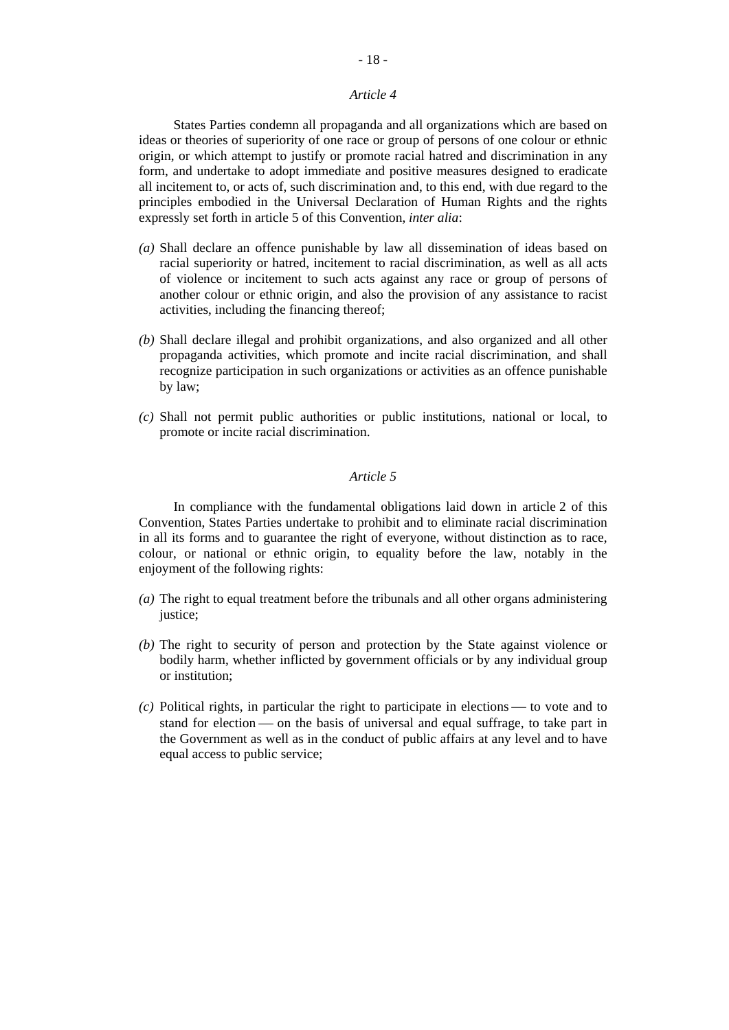## *Article 4*

 States Parties condemn all propaganda and all organizations which are based on ideas or theories of superiority of one race or group of persons of one colour or ethnic origin, or which attempt to justify or promote racial hatred and discrimination in any form, and undertake to adopt immediate and positive measures designed to eradicate all incitement to, or acts of, such discrimination and, to this end, with due regard to the principles embodied in the Universal Declaration of Human Rights and the rights expressly set forth in article 5 of this Convention, *inter alia*:

- *(a)* Shall declare an offence punishable by law all dissemination of ideas based on racial superiority or hatred, incitement to racial discrimination, as well as all acts of violence or incitement to such acts against any race or group of persons of another colour or ethnic origin, and also the provision of any assistance to racist activities, including the financing thereof;
- *(b)* Shall declare illegal and prohibit organizations, and also organized and all other propaganda activities, which promote and incite racial discrimination, and shall recognize participation in such organizations or activities as an offence punishable by law;
- *(c)* Shall not permit public authorities or public institutions, national or local, to promote or incite racial discrimination.

# *Article 5*

 In compliance with the fundamental obligations laid down in article 2 of this Convention, States Parties undertake to prohibit and to eliminate racial discrimination in all its forms and to guarantee the right of everyone, without distinction as to race, colour, or national or ethnic origin, to equality before the law, notably in the enjoyment of the following rights:

- *(a)* The right to equal treatment before the tribunals and all other organs administering justice:
- *(b)* The right to security of person and protection by the State against violence or bodily harm, whether inflicted by government officials or by any individual group or institution;
- $(c)$  Political rights, in particular the right to participate in elections to vote and to stand for election  $\equiv$  on the basis of universal and equal suffrage, to take part in the Government as well as in the conduct of public affairs at any level and to have equal access to public service;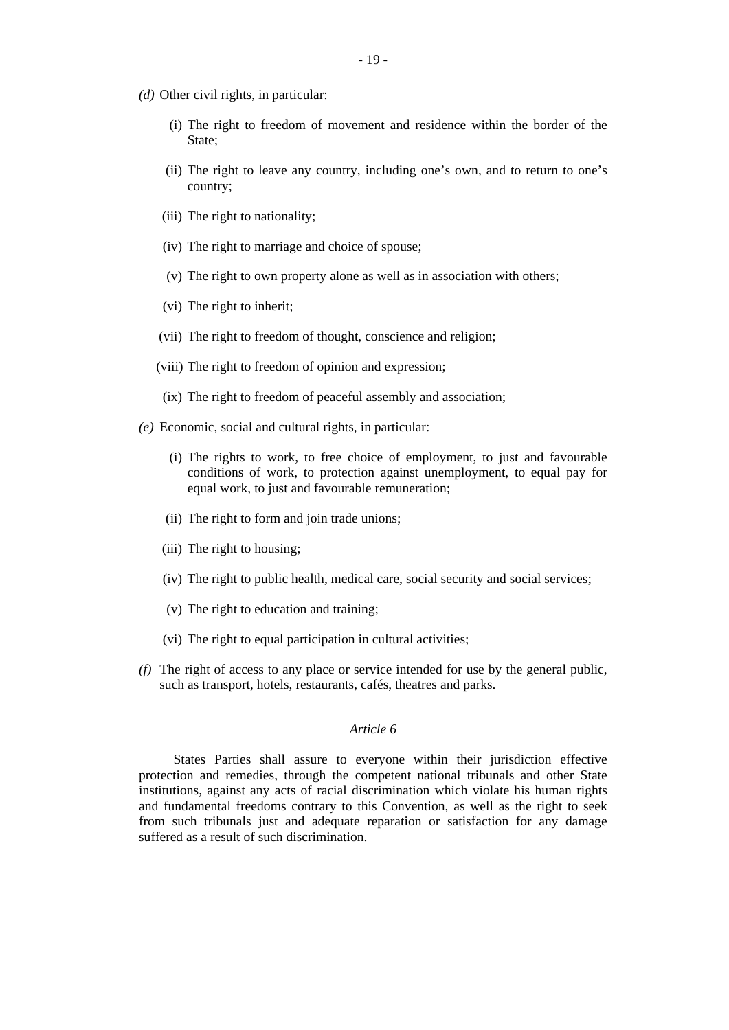- *(d)* Other civil rights, in particular:
	- (i) The right to freedom of movement and residence within the border of the State;
	- (ii) The right to leave any country, including one's own, and to return to one's country;
	- (iii) The right to nationality;
	- (iv) The right to marriage and choice of spouse;
	- (v) The right to own property alone as well as in association with others;
	- (vi) The right to inherit;
	- (vii) The right to freedom of thought, conscience and religion;
	- (viii) The right to freedom of opinion and expression;
		- (ix) The right to freedom of peaceful assembly and association;
- *(e)* Economic, social and cultural rights, in particular:
	- (i) The rights to work, to free choice of employment, to just and favourable conditions of work, to protection against unemployment, to equal pay for equal work, to just and favourable remuneration;
	- (ii) The right to form and join trade unions;
	- (iii) The right to housing;
	- (iv) The right to public health, medical care, social security and social services;
	- (v) The right to education and training;
	- (vi) The right to equal participation in cultural activities;
- *(f)* The right of access to any place or service intended for use by the general public, such as transport, hotels, restaurants, cafés, theatres and parks.

## *Article 6*

 States Parties shall assure to everyone within their jurisdiction effective protection and remedies, through the competent national tribunals and other State institutions, against any acts of racial discrimination which violate his human rights and fundamental freedoms contrary to this Convention, as well as the right to seek from such tribunals just and adequate reparation or satisfaction for any damage suffered as a result of such discrimination.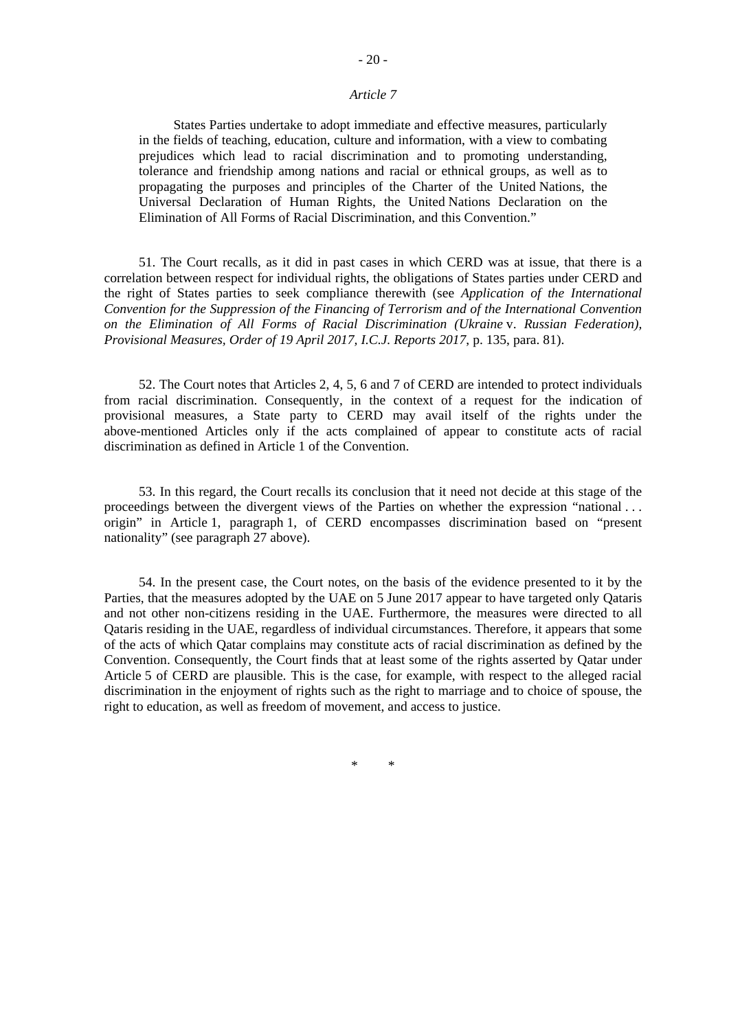## *Article 7*

 States Parties undertake to adopt immediate and effective measures, particularly in the fields of teaching, education, culture and information, with a view to combating prejudices which lead to racial discrimination and to promoting understanding, tolerance and friendship among nations and racial or ethnical groups, as well as to propagating the purposes and principles of the Charter of the United Nations, the Universal Declaration of Human Rights, the United Nations Declaration on the Elimination of All Forms of Racial Discrimination, and this Convention."

 51. The Court recalls, as it did in past cases in which CERD was at issue, that there is a correlation between respect for individual rights, the obligations of States parties under CERD and the right of States parties to seek compliance therewith (see *Application of the International Convention for the Suppression of the Financing of Terrorism and of the International Convention on the Elimination of All Forms of Racial Discrimination (Ukraine* v. *Russian Federation), Provisional Measures, Order of 19 April 2017, I.C.J. Reports 2017*, p. 135, para. 81).

 52. The Court notes that Articles 2, 4, 5, 6 and 7 of CERD are intended to protect individuals from racial discrimination. Consequently, in the context of a request for the indication of provisional measures, a State party to CERD may avail itself of the rights under the above-mentioned Articles only if the acts complained of appear to constitute acts of racial discrimination as defined in Article 1 of the Convention.

 53. In this regard, the Court recalls its conclusion that it need not decide at this stage of the proceedings between the divergent views of the Parties on whether the expression "national . . . origin" in Article 1, paragraph 1, of CERD encompasses discrimination based on "present nationality" (see paragraph 27 above).

 54. In the present case, the Court notes, on the basis of the evidence presented to it by the Parties, that the measures adopted by the UAE on 5 June 2017 appear to have targeted only Qataris and not other non-citizens residing in the UAE. Furthermore, the measures were directed to all Qataris residing in the UAE, regardless of individual circumstances. Therefore, it appears that some of the acts of which Qatar complains may constitute acts of racial discrimination as defined by the Convention. Consequently, the Court finds that at least some of the rights asserted by Qatar under Article 5 of CERD are plausible. This is the case, for example, with respect to the alleged racial discrimination in the enjoyment of rights such as the right to marriage and to choice of spouse, the right to education, as well as freedom of movement, and access to justice.

\* \*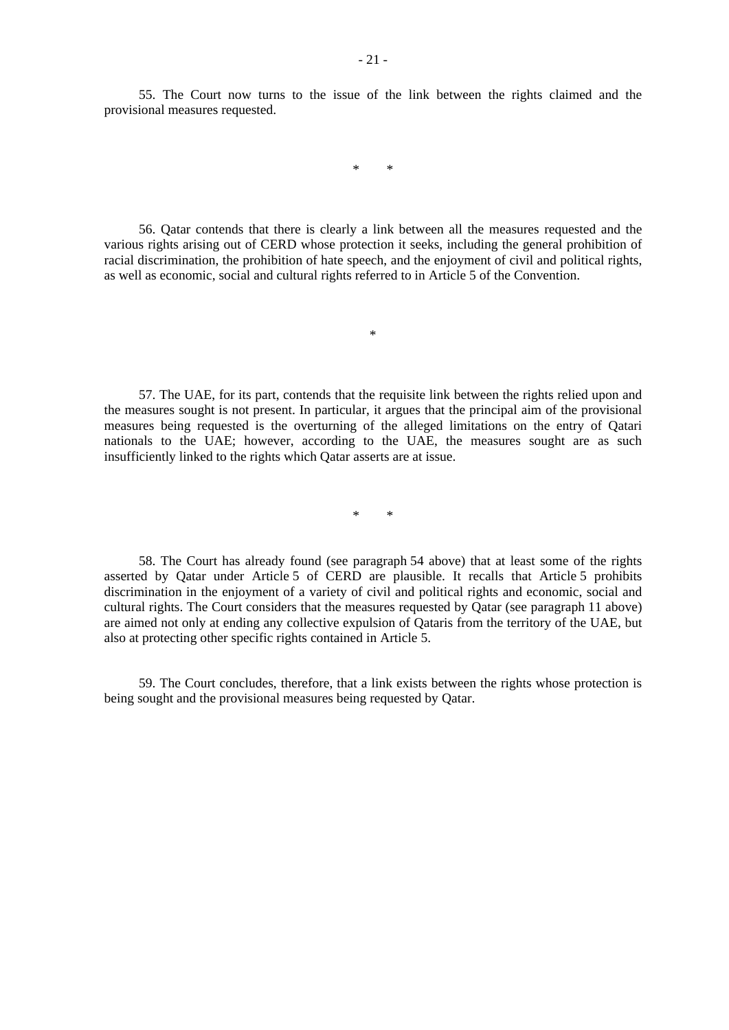55. The Court now turns to the issue of the link between the rights claimed and the provisional measures requested.

\* \*

 56. Qatar contends that there is clearly a link between all the measures requested and the various rights arising out of CERD whose protection it seeks, including the general prohibition of racial discrimination, the prohibition of hate speech, and the enjoyment of civil and political rights, as well as economic, social and cultural rights referred to in Article 5 of the Convention.

\*

 57. The UAE, for its part, contends that the requisite link between the rights relied upon and the measures sought is not present. In particular, it argues that the principal aim of the provisional measures being requested is the overturning of the alleged limitations on the entry of Qatari nationals to the UAE; however, according to the UAE, the measures sought are as such insufficiently linked to the rights which Qatar asserts are at issue.

\* \*

 58. The Court has already found (see paragraph 54 above) that at least some of the rights asserted by Qatar under Article 5 of CERD are plausible. It recalls that Article 5 prohibits discrimination in the enjoyment of a variety of civil and political rights and economic, social and cultural rights. The Court considers that the measures requested by Qatar (see paragraph 11 above) are aimed not only at ending any collective expulsion of Qataris from the territory of the UAE, but also at protecting other specific rights contained in Article 5.

 59. The Court concludes, therefore, that a link exists between the rights whose protection is being sought and the provisional measures being requested by Qatar.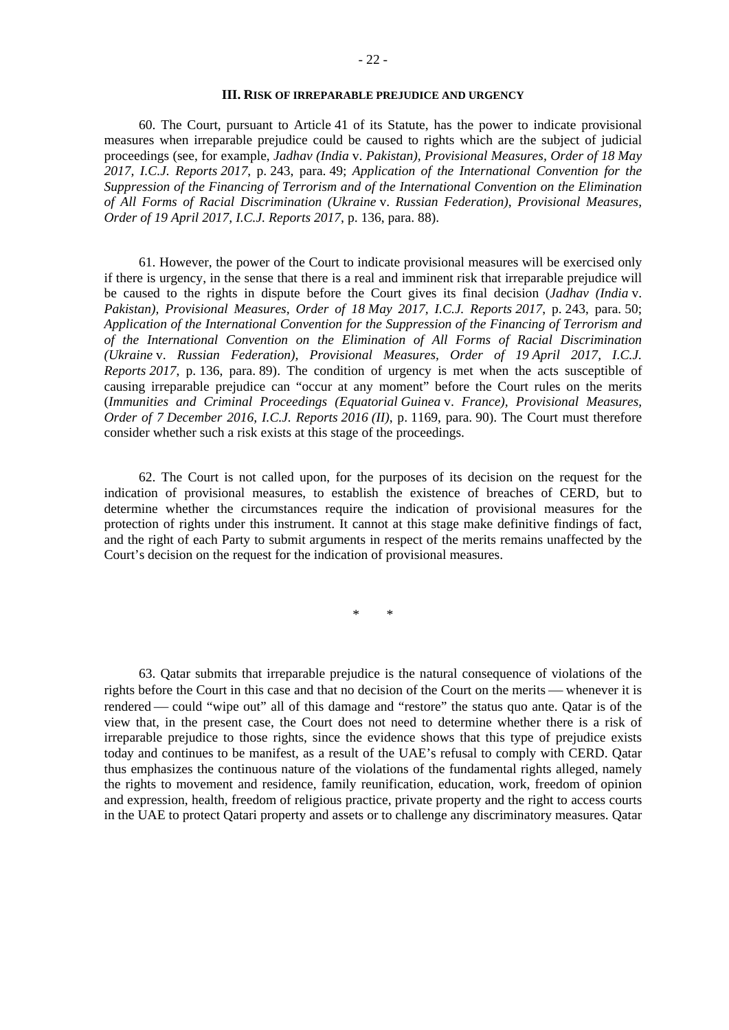#### **III. RISK OF IRREPARABLE PREJUDICE AND URGENCY**

 60. The Court, pursuant to Article 41 of its Statute, has the power to indicate provisional measures when irreparable prejudice could be caused to rights which are the subject of judicial proceedings (see, for example, *Jadhav (India* v. *Pakistan), Provisional Measures, Order of 18 May 2017, I.C.J. Reports 2017*, p. 243, para. 49; *Application of the International Convention for the Suppression of the Financing of Terrorism and of the International Convention on the Elimination of All Forms of Racial Discrimination (Ukraine* v. *Russian Federation), Provisional Measures, Order of 19 April 2017, I.C.J. Reports 2017*, p. 136, para. 88).

 61. However, the power of the Court to indicate provisional measures will be exercised only if there is urgency, in the sense that there is a real and imminent risk that irreparable prejudice will be caused to the rights in dispute before the Court gives its final decision (*Jadhav (India* v. *Pakistan), Provisional Measures, Order of 18 May 2017, I.C.J. Reports 2017*, p. 243, para. 50; *Application of the International Convention for the Suppression of the Financing of Terrorism and of the International Convention on the Elimination of All Forms of Racial Discrimination (Ukraine* v. *Russian Federation), Provisional Measures, Order of 19 April 2017, I.C.J. Reports 2017*, p. 136, para. 89). The condition of urgency is met when the acts susceptible of causing irreparable prejudice can "occur at any moment" before the Court rules on the merits (*Immunities and Criminal Proceedings (Equatorial Guinea* v. *France), Provisional Measures, Order of 7 December 2016, I.C.J. Reports 2016 (II)*, p. 1169, para. 90). The Court must therefore consider whether such a risk exists at this stage of the proceedings.

 62. The Court is not called upon, for the purposes of its decision on the request for the indication of provisional measures, to establish the existence of breaches of CERD, but to determine whether the circumstances require the indication of provisional measures for the protection of rights under this instrument. It cannot at this stage make definitive findings of fact, and the right of each Party to submit arguments in respect of the merits remains unaffected by the Court's decision on the request for the indication of provisional measures.

\* \*

 63. Qatar submits that irreparable prejudice is the natural consequence of violations of the rights before the Court in this case and that no decision of the Court on the merits — whenever it is rendered — could "wipe out" all of this damage and "restore" the status quo ante. Qatar is of the view that, in the present case, the Court does not need to determine whether there is a risk of irreparable prejudice to those rights, since the evidence shows that this type of prejudice exists today and continues to be manifest, as a result of the UAE's refusal to comply with CERD. Qatar thus emphasizes the continuous nature of the violations of the fundamental rights alleged, namely the rights to movement and residence, family reunification, education, work, freedom of opinion and expression, health, freedom of religious practice, private property and the right to access courts in the UAE to protect Qatari property and assets or to challenge any discriminatory measures. Qatar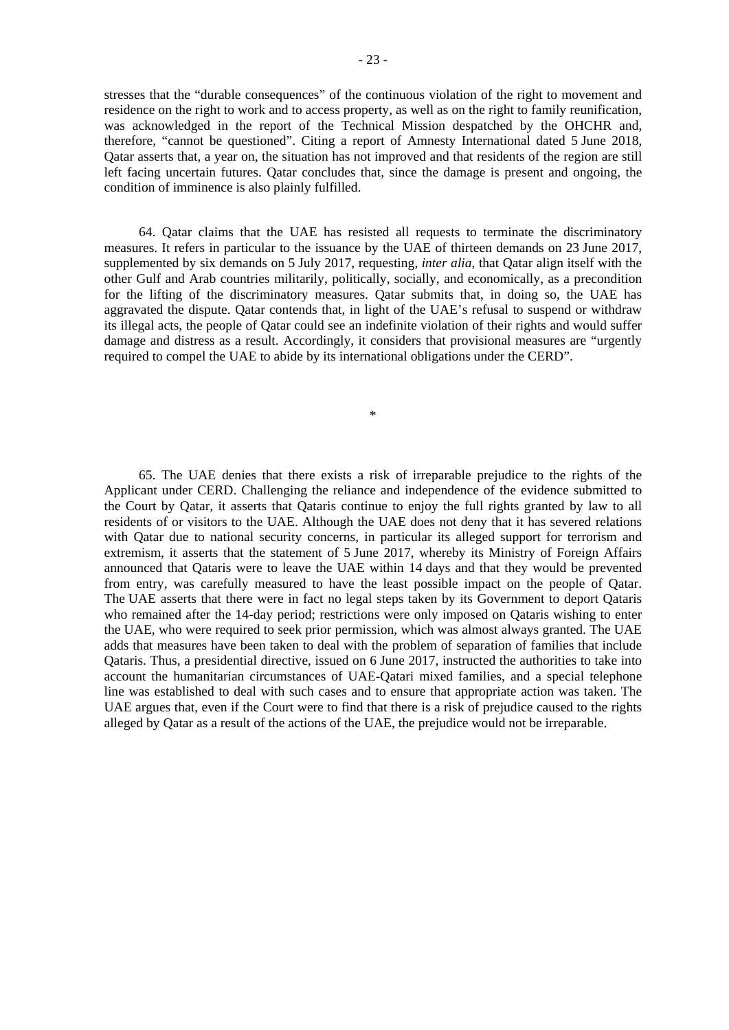stresses that the "durable consequences" of the continuous violation of the right to movement and residence on the right to work and to access property, as well as on the right to family reunification, was acknowledged in the report of the Technical Mission despatched by the OHCHR and, therefore, "cannot be questioned". Citing a report of Amnesty International dated 5 June 2018, Qatar asserts that, a year on, the situation has not improved and that residents of the region are still left facing uncertain futures. Qatar concludes that, since the damage is present and ongoing, the condition of imminence is also plainly fulfilled.

 64. Qatar claims that the UAE has resisted all requests to terminate the discriminatory measures. It refers in particular to the issuance by the UAE of thirteen demands on 23 June 2017, supplemented by six demands on 5 July 2017, requesting, *inter alia*, that Qatar align itself with the other Gulf and Arab countries militarily, politically, socially, and economically, as a precondition for the lifting of the discriminatory measures. Qatar submits that, in doing so, the UAE has aggravated the dispute. Qatar contends that, in light of the UAE's refusal to suspend or withdraw its illegal acts, the people of Qatar could see an indefinite violation of their rights and would suffer damage and distress as a result. Accordingly, it considers that provisional measures are "urgently required to compel the UAE to abide by its international obligations under the CERD".

\*

 65. The UAE denies that there exists a risk of irreparable prejudice to the rights of the Applicant under CERD. Challenging the reliance and independence of the evidence submitted to the Court by Qatar, it asserts that Qataris continue to enjoy the full rights granted by law to all residents of or visitors to the UAE. Although the UAE does not deny that it has severed relations with Qatar due to national security concerns, in particular its alleged support for terrorism and extremism, it asserts that the statement of 5 June 2017, whereby its Ministry of Foreign Affairs announced that Qataris were to leave the UAE within 14 days and that they would be prevented from entry, was carefully measured to have the least possible impact on the people of Qatar. The UAE asserts that there were in fact no legal steps taken by its Government to deport Qataris who remained after the 14-day period; restrictions were only imposed on Qataris wishing to enter the UAE, who were required to seek prior permission, which was almost always granted. The UAE adds that measures have been taken to deal with the problem of separation of families that include Qataris. Thus, a presidential directive, issued on 6 June 2017, instructed the authorities to take into account the humanitarian circumstances of UAE-Qatari mixed families, and a special telephone line was established to deal with such cases and to ensure that appropriate action was taken. The UAE argues that, even if the Court were to find that there is a risk of prejudice caused to the rights alleged by Qatar as a result of the actions of the UAE, the prejudice would not be irreparable.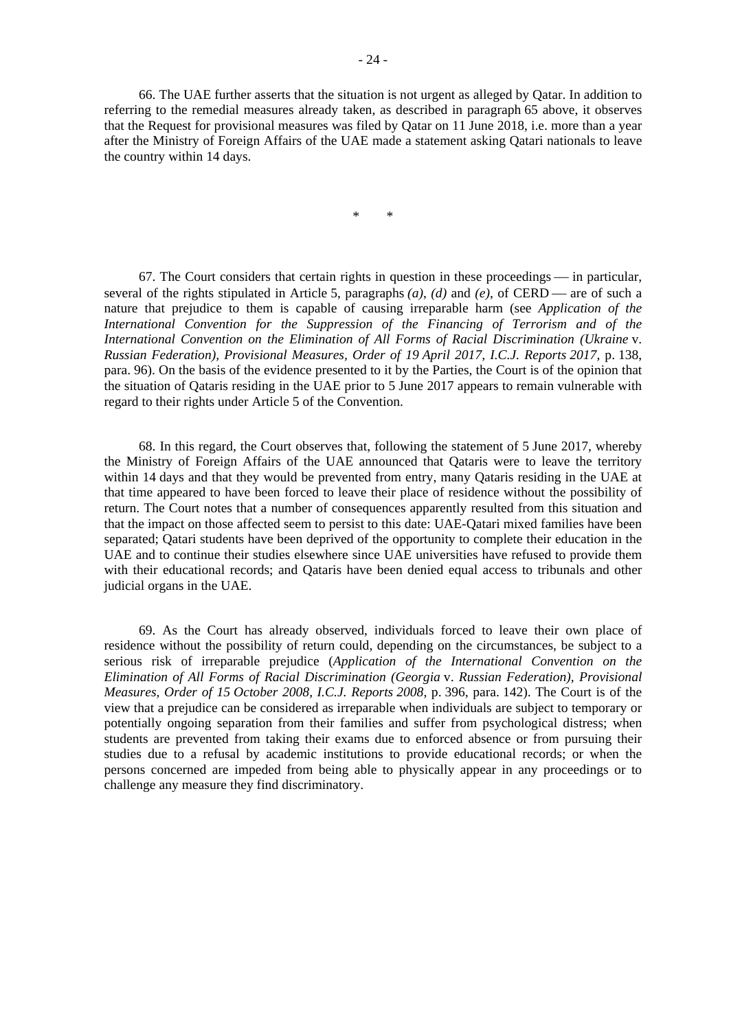66. The UAE further asserts that the situation is not urgent as alleged by Qatar. In addition to referring to the remedial measures already taken, as described in paragraph 65 above, it observes that the Request for provisional measures was filed by Qatar on 11 June 2018, i.e. more than a year after the Ministry of Foreign Affairs of the UAE made a statement asking Qatari nationals to leave the country within 14 days.

\* \*

67. The Court considers that certain rights in question in these proceedings  $\frac{1}{\sqrt{1-\frac{1}{n}}}$  in particular, several of the rights stipulated in Article 5, paragraphs  $(a)$ ,  $(d)$  and  $(e)$ , of CERD — are of such a nature that prejudice to them is capable of causing irreparable harm (see *Application of the International Convention for the Suppression of the Financing of Terrorism and of the International Convention on the Elimination of All Forms of Racial Discrimination (Ukraine* v. *Russian Federation), Provisional Measures, Order of 19 April 2017, I.C.J. Reports 2017*, p. 138, para. 96). On the basis of the evidence presented to it by the Parties, the Court is of the opinion that the situation of Qataris residing in the UAE prior to 5 June 2017 appears to remain vulnerable with regard to their rights under Article 5 of the Convention.

 68. In this regard, the Court observes that, following the statement of 5 June 2017, whereby the Ministry of Foreign Affairs of the UAE announced that Qataris were to leave the territory within 14 days and that they would be prevented from entry, many Qataris residing in the UAE at that time appeared to have been forced to leave their place of residence without the possibility of return. The Court notes that a number of consequences apparently resulted from this situation and that the impact on those affected seem to persist to this date: UAE-Qatari mixed families have been separated; Qatari students have been deprived of the opportunity to complete their education in the UAE and to continue their studies elsewhere since UAE universities have refused to provide them with their educational records; and Qataris have been denied equal access to tribunals and other judicial organs in the UAE.

 69. As the Court has already observed, individuals forced to leave their own place of residence without the possibility of return could, depending on the circumstances, be subject to a serious risk of irreparable prejudice (*Application of the International Convention on the Elimination of All Forms of Racial Discrimination (Georgia* v. *Russian Federation), Provisional Measures, Order of 15 October 2008, I.C.J. Reports 2008*, p. 396, para. 142). The Court is of the view that a prejudice can be considered as irreparable when individuals are subject to temporary or potentially ongoing separation from their families and suffer from psychological distress; when students are prevented from taking their exams due to enforced absence or from pursuing their studies due to a refusal by academic institutions to provide educational records; or when the persons concerned are impeded from being able to physically appear in any proceedings or to challenge any measure they find discriminatory.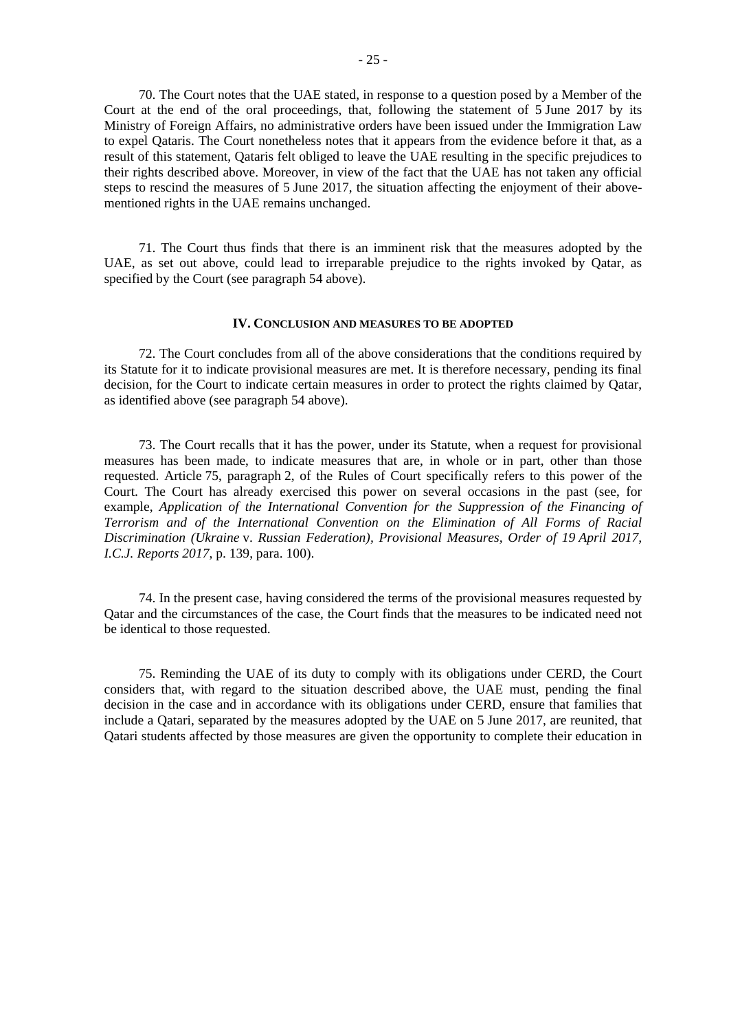70. The Court notes that the UAE stated, in response to a question posed by a Member of the Court at the end of the oral proceedings, that, following the statement of 5 June 2017 by its Ministry of Foreign Affairs, no administrative orders have been issued under the Immigration Law to expel Qataris. The Court nonetheless notes that it appears from the evidence before it that, as a result of this statement, Qataris felt obliged to leave the UAE resulting in the specific prejudices to their rights described above. Moreover, in view of the fact that the UAE has not taken any official steps to rescind the measures of 5 June 2017, the situation affecting the enjoyment of their abovementioned rights in the UAE remains unchanged.

 71. The Court thus finds that there is an imminent risk that the measures adopted by the UAE, as set out above, could lead to irreparable prejudice to the rights invoked by Qatar, as specified by the Court (see paragraph 54 above).

#### **IV. CONCLUSION AND MEASURES TO BE ADOPTED**

 72. The Court concludes from all of the above considerations that the conditions required by its Statute for it to indicate provisional measures are met. It is therefore necessary, pending its final decision, for the Court to indicate certain measures in order to protect the rights claimed by Qatar, as identified above (see paragraph 54 above).

 73. The Court recalls that it has the power, under its Statute, when a request for provisional measures has been made, to indicate measures that are, in whole or in part, other than those requested. Article 75, paragraph 2, of the Rules of Court specifically refers to this power of the Court. The Court has already exercised this power on several occasions in the past (see, for example, *Application of the International Convention for the Suppression of the Financing of Terrorism and of the International Convention on the Elimination of All Forms of Racial Discrimination (Ukraine* v. *Russian Federation), Provisional Measures, Order of 19 April 2017, I.C.J. Reports 2017*, p. 139, para. 100).

 74. In the present case, having considered the terms of the provisional measures requested by Qatar and the circumstances of the case, the Court finds that the measures to be indicated need not be identical to those requested.

 75. Reminding the UAE of its duty to comply with its obligations under CERD, the Court considers that, with regard to the situation described above, the UAE must, pending the final decision in the case and in accordance with its obligations under CERD, ensure that families that include a Qatari, separated by the measures adopted by the UAE on 5 June 2017, are reunited, that Qatari students affected by those measures are given the opportunity to complete their education in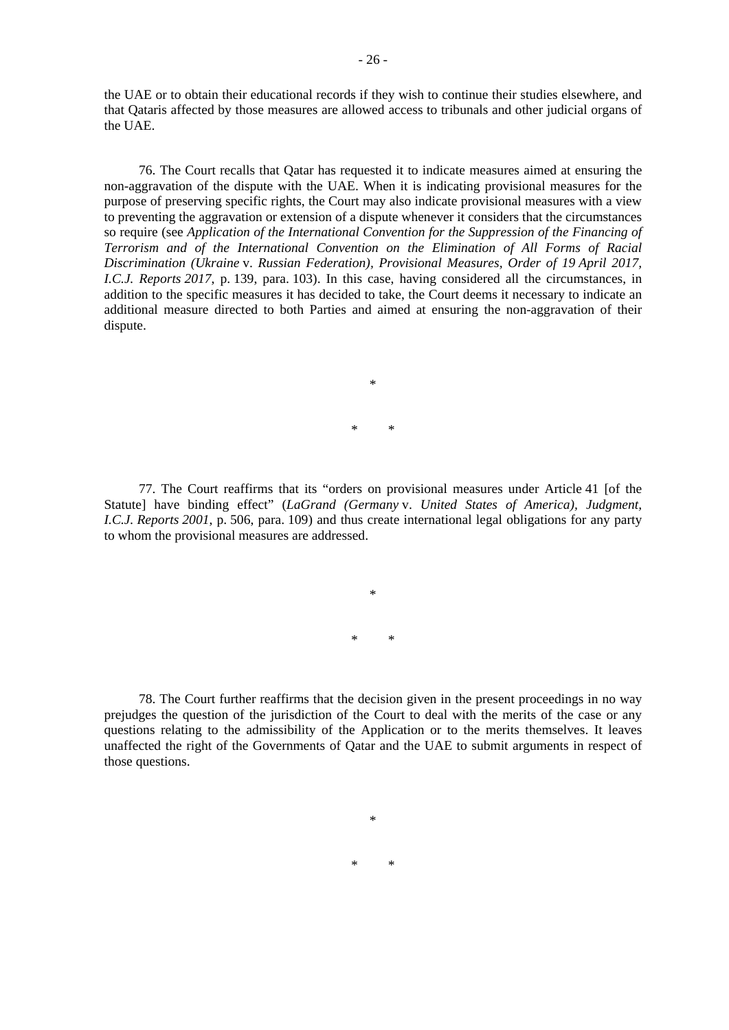the UAE or to obtain their educational records if they wish to continue their studies elsewhere, and that Qataris affected by those measures are allowed access to tribunals and other judicial organs of the UAE.

 76. The Court recalls that Qatar has requested it to indicate measures aimed at ensuring the non-aggravation of the dispute with the UAE. When it is indicating provisional measures for the purpose of preserving specific rights, the Court may also indicate provisional measures with a view to preventing the aggravation or extension of a dispute whenever it considers that the circumstances so require (see *Application of the International Convention for the Suppression of the Financing of Terrorism and of the International Convention on the Elimination of All Forms of Racial Discrimination (Ukraine* v. *Russian Federation), Provisional Measures, Order of 19 April 2017, I.C.J. Reports 2017*, p. 139, para. 103). In this case, having considered all the circumstances, in addition to the specific measures it has decided to take, the Court deems it necessary to indicate an additional measure directed to both Parties and aimed at ensuring the non-aggravation of their dispute.

\* \*

\*

 77. The Court reaffirms that its "orders on provisional measures under Article 41 [of the Statute] have binding effect" (*LaGrand (Germany* v. *United States of America), Judgment, I.C.J. Reports 2001*, p. 506, para. 109) and thus create international legal obligations for any party to whom the provisional measures are addressed.

> \* \* \*

 78. The Court further reaffirms that the decision given in the present proceedings in no way prejudges the question of the jurisdiction of the Court to deal with the merits of the case or any questions relating to the admissibility of the Application or to the merits themselves. It leaves unaffected the right of the Governments of Qatar and the UAE to submit arguments in respect of those questions.

\* \*

\*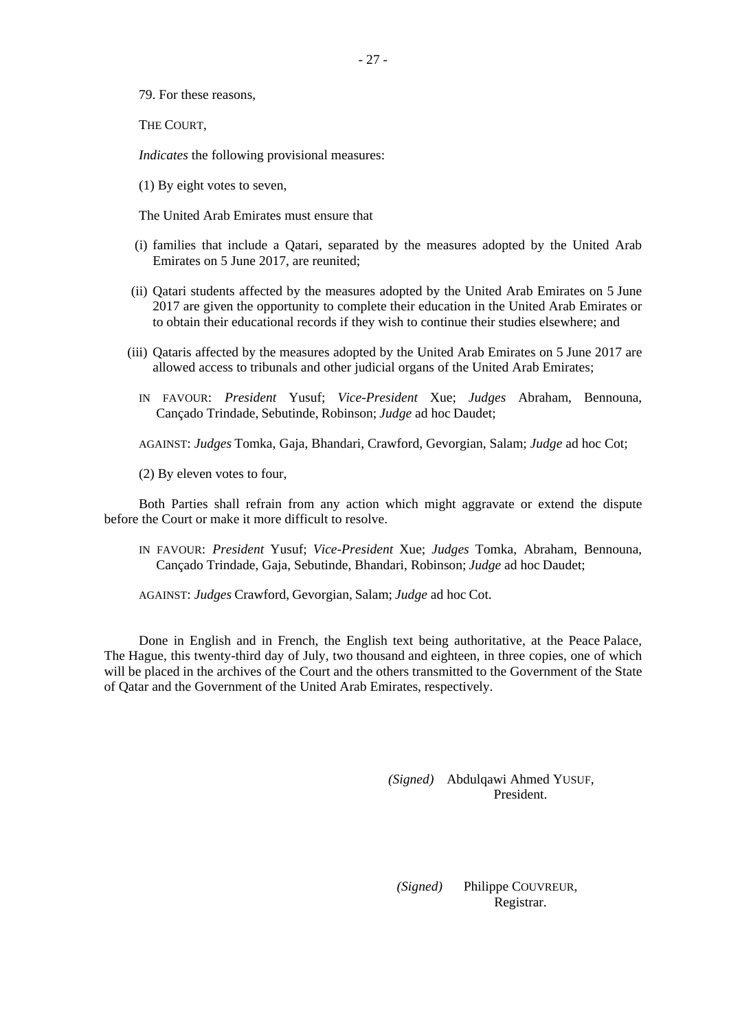79. For these reasons,

THE COURT,

*Indicates* the following provisional measures:

(1) By eight votes to seven,

The United Arab Emirates must ensure that

- (i) families that include a Qatari, separated by the measures adopted by the United Arab Emirates on 5 June 2017, are reunited;
- (ii) Qatari students affected by the measures adopted by the United Arab Emirates on 5 June 2017 are given the opportunity to complete their education in the United Arab Emirates or to obtain their educational records if they wish to continue their studies elsewhere; and
- (iii) Qataris affected by the measures adopted by the United Arab Emirates on 5 June 2017 are allowed access to tribunals and other judicial organs of the United Arab Emirates;
	- IN FAVOUR: *President* Yusuf; *Vice-President* Xue; *Judges* Abraham, Bennouna, Cançado Trindade, Sebutinde, Robinson; *Judge* ad hoc Daudet;

AGAINST: *Judges* Tomka, Gaja, Bhandari, Crawford, Gevorgian, Salam; *Judge* ad hoc Cot;

(2) By eleven votes to four,

 Both Parties shall refrain from any action which might aggravate or extend the dispute before the Court or make it more difficult to resolve.

IN FAVOUR: *President* Yusuf; *Vice-President* Xue; *Judges* Tomka, Abraham, Bennouna, Cançado Trindade, Gaja, Sebutinde, Bhandari, Robinson; *Judge* ad hoc Daudet;

AGAINST: *Judges* Crawford, Gevorgian, Salam; *Judge* ad hoc Cot.

 Done in English and in French, the English text being authoritative, at the Peace Palace, The Hague, this twenty-third day of July, two thousand and eighteen, in three copies, one of which will be placed in the archives of the Court and the others transmitted to the Government of the State of Qatar and the Government of the United Arab Emirates, respectively.

*(Signed)* Abdulqawi Ahmed YUSUF, President.

> *(Signed)* Philippe COUVREUR, Registrar.